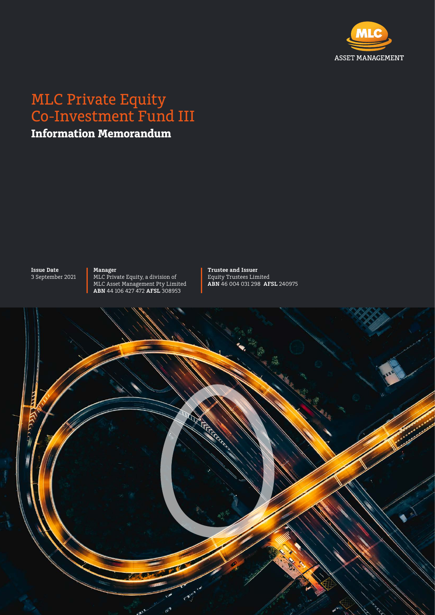

# MLC Private Equity Co-Investment Fund III

**Information Memorandum**

**Issue Date** 3 September 2021 **Manager** MLC Private Equity, a division of MLC Asset Management Pty Limited **ABN** 44 106 427 472 **AFSL** 308953

**Trustee and Issuer**  Equity Trustees Limited **ABN** 46 004 031 298 **AFSL** 240975

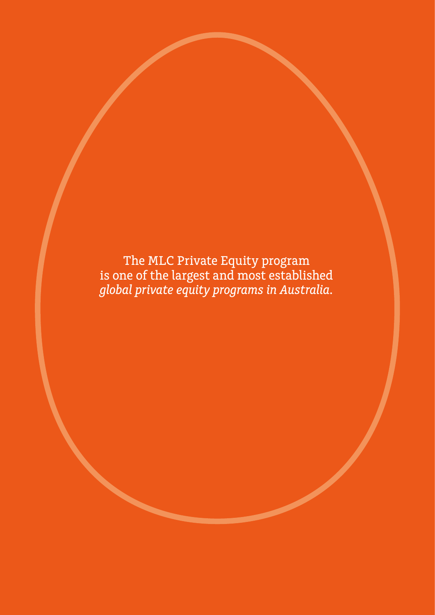The MLC Private Equity program is one of the largest and most established *global private equity programs in Australia.*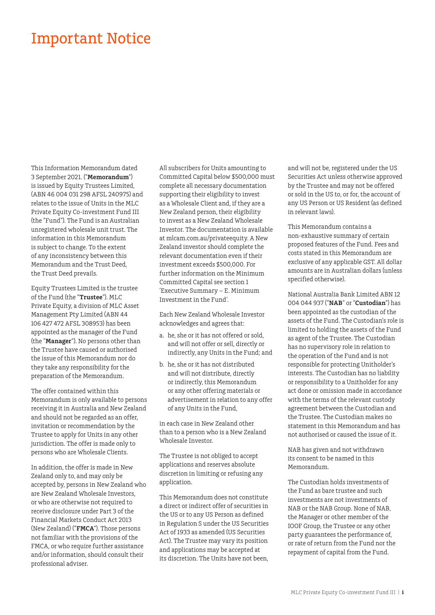# Important Notice

This Information Memorandum dated 3 September 2021. ("**Memorandum**") is issued by Equity Trustees Limited, (ABN 46 004 031 298 AFSL 240975) and relates to the issue of Units in the MLC Private Equity Co-investment Fund III (the "Fund"). The Fund is an Australian unregistered wholesale unit trust. The information in this Memorandum is subject to change. To the extent of any inconsistency between this Memorandum and the Trust Deed, the Trust Deed prevails.

Equity Trustees Limited is the trustee of the Fund (the "**Trustee**"). MLC Private Equity, a division of MLC Asset Management Pty Limited (ABN 44 106 427 472 AFSL 308953) has been appointed as the manager of the Fund (the "**Manager**"). No persons other than the Trustee have caused or authorised the issue of this Memorandum nor do they take any responsibility for the preparation of the Memorandum.

The offer contained within this Memorandum is only available to persons receiving it in Australia and New Zealand and should not be regarded as an offer, invitation or recommendation by the Trustee to apply for Units in any other jurisdiction. The offer is made only to persons who are Wholesale Clients.

In addition, the offer is made in New Zealand only to, and may only be accepted by, persons in New Zealand who are New Zealand Wholesale Investors, or who are otherwise not required to receive disclosure under Part 3 of the Financial Markets Conduct Act 2013 (New Zealand) ("**FMCA**"). Those persons not familiar with the provisions of the FMCA, or who require further assistance and/or information, should consult their professional adviser.

All subscribers for Units amounting to Committed Capital below \$500,000 must complete all necessary documentation supporting their eligibility to invest as a Wholesale Client and, if they are a New Zealand person, their eligibility to invest as a New Zealand Wholesale Investor. The documentation is available at mlcam.com.au/privateequity. A New Zealand investor should complete the relevant documentation even if their investment exceeds \$500,000. For further information on the Minimum Committed Capital see section 1 'Executive Summary – E. Minimum Investment in the Fund'.

Each New Zealand Wholesale Investor acknowledges and agrees that:

- a. he, she or it has not offered or sold, and will not offer or sell, directly or indirectly, any Units in the Fund; and
- b. he, she or it has not distributed and will not distribute, directly or indirectly, this Memorandum or any other offering materials or advertisement in relation to any offer of any Units in the Fund,

in each case in New Zealand other than to a person who is a New Zealand Wholesale Investor.

The Trustee is not obliged to accept applications and reserves absolute discretion in limiting or refusing any application.

This Memorandum does not constitute a direct or indirect offer of securities in the US or to any US Person as defined in Regulation S under the US Securities Act of 1933 as amended (US Securities Act). The Trustee may vary its position and applications may be accepted at its discretion. The Units have not been,

and will not be, registered under the US Securities Act unless otherwise approved by the Trustee and may not be offered or sold in the US to, or for, the account of any US Person or US Resident (as defined in relevant laws).

This Memorandum contains a non-exhaustive summary of certain proposed features of the Fund. Fees and costs stated in this Memorandum are exclusive of any applicable GST. All dollar amounts are in Australian dollars (unless specified otherwise).

National Australia Bank Limited ABN 12 004 044 937 ("**NAB**" or "**Custodian**") has been appointed as the custodian of the assets of the Fund. The Custodian's role is limited to holding the assets of the Fund as agent of the Trustee. The Custodian has no supervisory role in relation to the operation of the Fund and is not responsible for protecting Unitholder's interests. The Custodian has no liability or responsibility to a Unitholder for any act done or omission made in accordance with the terms of the relevant custody agreement between the Custodian and the Trustee. The Custodian makes no statement in this Memorandum and has not authorised or caused the issue of it.

NAB has given and not withdrawn its consent to be named in this Memorandum.

The Custodian holds investments of the Fund as bare trustee and such investments are not investments of NAB or the NAB Group. None of NAB, the Manager or other member of the IOOF Group, the Trustee or any other party guarantees the performance of, or rate of return from the Fund nor the repayment of capital from the Fund.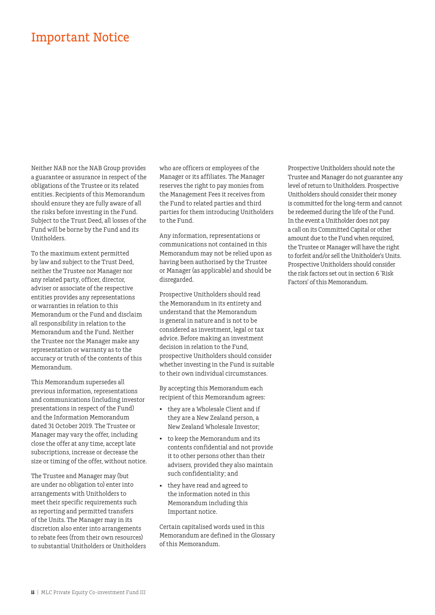## Important Notice

Neither NAB nor the NAB Group provides a guarantee or assurance in respect of the obligations of the Trustee or its related entities. Recipients of this Memorandum should ensure they are fully aware of all the risks before investing in the Fund. Subject to the Trust Deed, all losses of the Fund will be borne by the Fund and its Unitholders.

To the maximum extent permitted by law and subject to the Trust Deed, neither the Trustee nor Manager nor any related party, officer, director, adviser or associate of the respective entities provides any representations or warranties in relation to this Memorandum or the Fund and disclaim all responsibility in relation to the Memorandum and the Fund. Neither the Trustee nor the Manager make any representation or warranty as to the accuracy or truth of the contents of this Memorandum.

This Memorandum supersedes all previous information, representations and communications (including investor presentations in respect of the Fund) and the Information Memorandum dated 31 October 2019. The Trustee or Manager may vary the offer, including close the offer at any time, accept late subscriptions, increase or decrease the size or timing of the offer, without notice.

The Trustee and Manager may (but are under no obligation to) enter into arrangements with Unitholders to meet their specific requirements such as reporting and permitted transfers of the Units. The Manager may in its discretion also enter into arrangements to rebate fees (from their own resources) to substantial Unitholders or Unitholders who are officers or employees of the Manager or its affiliates. The Manager reserves the right to pay monies from the Management Fees it receives from the Fund to related parties and third parties for them introducing Unitholders to the Fund.

Any information, representations or communications not contained in this Memorandum may not be relied upon as having been authorised by the Trustee or Manager (as applicable) and should be disregarded.

Prospective Unitholders should read the Memorandum in its entirety and understand that the Memorandum is general in nature and is not to be considered as investment, legal or tax advice. Before making an investment decision in relation to the Fund, prospective Unitholders should consider whether investing in the Fund is suitable to their own individual circumstances.

By accepting this Memorandum each recipient of this Memorandum agrees:

- they are a Wholesale Client and if they are a New Zealand person, a New Zealand Wholesale Investor;
- to keep the Memorandum and its contents confidential and not provide it to other persons other than their advisers, provided they also maintain such confidentiality; and
- they have read and agreed to the information noted in this Memorandum including this Important notice.

Certain capitalised words used in this Memorandum are defined in the Glossary of this Memorandum.

Prospective Unitholders should note the Trustee and Manager do not guarantee any level of return to Unitholders. Prospective Unitholders should consider their money is committed for the long-term and cannot be redeemed during the life of the Fund. In the event a Unitholder does not pay a call on its Committed Capital or other amount due to the Fund when required, the Trustee or Manager will have the right to forfeit and/or sell the Unitholder's Units. Prospective Unitholders should consider the risk factors set out in section 6 'Risk Factors' of this Memorandum.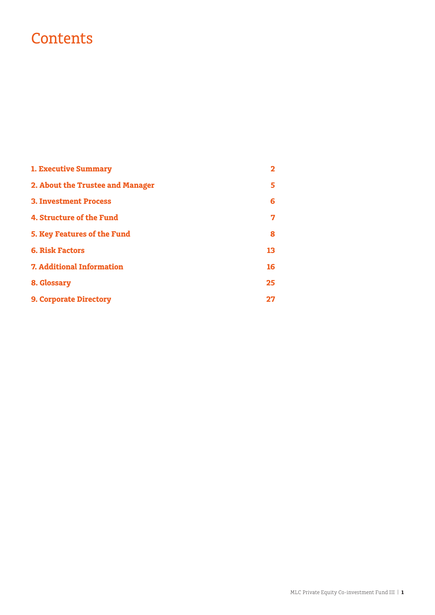# **Contents**

| <b>1. Executive Summary</b>        |    |
|------------------------------------|----|
| 2. About the Trustee and Manager   | 5  |
| <b>3. Investment Process</b>       | 6  |
| 4. Structure of the Fund           | 7  |
| <b>5. Key Features of the Fund</b> | 8  |
| <b>6. Risk Factors</b>             | 13 |
| <b>7. Additional Information</b>   | 16 |
| 8. Glossary                        | 25 |
| <b>9. Corporate Directory</b>      | די |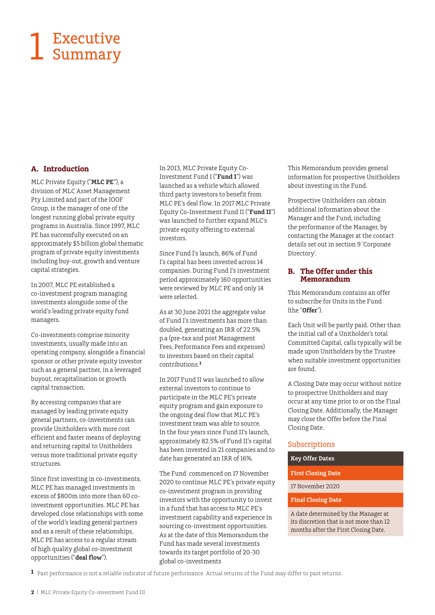# Executive 1 Executive<br>Summary

#### **A. Introduction**

MLC Private Equity ("**MLC PE**"), a division of MLC Asset Management Pty Limited and part of the IOOF Group, is the manager of one of the longest running global private equity programs in Australia. Since 1997, MLC PE has successfully executed on an approximately \$5 billion global thematic program of private equity investments including buy-out, growth and venture capital strategies.

In 2007, MLC PE established a co-investment program managing investments alongside some of the world's leading private equity fund managers.

Co-investments comprise minority investments, usually made into an operating company, alongside a [financial](http://en.wikipedia.org/wiki/Financial_sponsor)  [sponsor](http://en.wikipedia.org/wiki/Financial_sponsor) or other [private equity](http://en.wikipedia.org/wiki/Private_equity) investor such as a general partner, in a [leveraged](http://en.wikipedia.org/wiki/Leveraged_buyout)  [buyout,](http://en.wikipedia.org/wiki/Leveraged_buyout) [recapitalisation](http://en.wikipedia.org/wiki/Leveraged_recapitalization) or [growth](http://en.wikipedia.org/wiki/Growth_capital)  [capital](http://en.wikipedia.org/wiki/Growth_capital) transaction.

By accessing companies that are managed by leading private equity general partners, co-investments can provide Unitholders with more cost efficient and faster means of deploying and returning capital to Unitholders versus more traditional private equity structures.

Since first investing in co-investments, MLC PE has managed investments in excess of \$800m into more than 60 coinvestment opportunities. MLC PE has developed close relationships with some of the world's leading general partners and as a result of these relationships, MLC PE has access to a regular stream of high quality global co-investment opportunities ("**deal flow**").

In 2013, MLC Private Equity Co-Investment Fund I ("**Fund I**") was launched as a vehicle which allowed third party investors to benefit from MLC PE's deal flow. In 2017 MLC Private Equity Co-Investment Fund II ("**Fund II**") was launched to further expand MLC's private equity offering to external investors.

Since Fund I's launch, 86% of Fund I's capital has been invested across 14 companies. During Fund I's investment period approximately 160 opportunities were reviewed by MLC PE and only 14 were selected.

As at 30 June 2021 the aggregate value of Fund I's investments has more than doubled, generating an IRR of 22.5% p.a (pre-tax and post Management Fees, Performance Fees and expenses) to investors based on their capital contributions.**<sup>1</sup>**

In 2017 Fund II was launched to allow external investors to continue to participate in the MLC PE's private equity program and gain exposure to the ongoing deal flow that MLC PE's investment team was able to source. In the four years since Fund II's launch, approximately 82.5% of Fund II's capital has been invested in 21 companies and to date has generated an IRR of 16%.

The Fund commenced on 17 November 2020 to continue MLC PE's private equity co-investment program in providing investors with the opportunity to invest in a fund that has access to MLC PE's investment capability and experience in sourcing co-investment opportunities. As at the date of this Memorandum the Fund has made several investments towards its target portfolio of 20-30 global co-investments

This Memorandum provides general information for prospective Unitholders about investing in the Fund.

Prospective Unitholders can obtain additional information about the Manager and the Fund, including the performance of the Manager, by contacting the Manager at the contact details set out in section 9 'Corporate Directory'.

#### **B. The Offer under this Memorandum**

This Memorandum contains an offer to subscribe for Units in the Fund (the "**Offer**").

Each Unit will be partly paid. Other than the initial call of a Unitholder's total Committed Capital, calls typically will be made upon Unitholders by the Trustee when suitable investment opportunities are found.

A Closing Date may occur without notice to prospective Unitholders and may occur at any time prior to or on the Final Closing Date. Additionally, the Manager may close the Offer before the Final Closing Date.

#### Subscriptions

#### **Key Offer Dates**

- **First Closing Date**
- 17 November 2020
- **Final Closing Date**

A date determined by the Manager at its discretion that is not more than 12 months after the First Closing Date.

**1** Past performance is not a reliable indicator of future performance. Actual returns of the Fund may differ to past returns.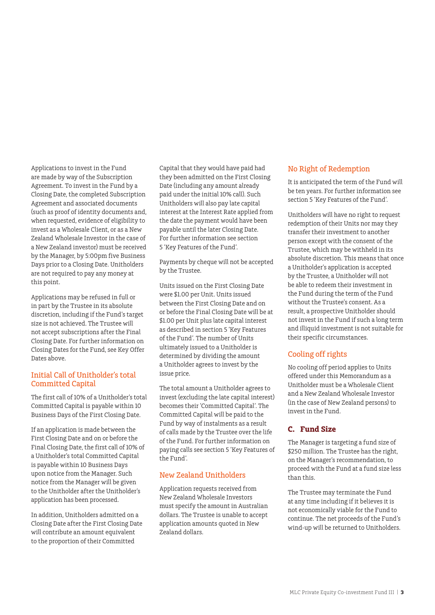Applications to invest in the Fund are made by way of the Subscription Agreement. To invest in the Fund by a Closing Date, the completed Subscription Agreement and associated documents (such as proof of identity documents and, when requested, evidence of eligibility to invest as a Wholesale Client, or as a New Zealand Wholesale Investor in the case of a New Zealand investor) must be received by the Manager, by 5:00pm five Business Days prior to a Closing Date. Unitholders are not required to pay any money at this point.

Applications may be refused in full or in part by the Trustee in its absolute discretion, including if the Fund's target size is not achieved. The Trustee will not accept subscriptions after the Final Closing Date. For further information on Closing Dates for the Fund, see Key Offer Dates above.

#### Initial Call of Unitholder's total Committed Capital

The first call of 10% of a Unitholder's total Committed Capital is payable within 10 Business Days of the First Closing Date.

If an application is made between the First Closing Date and on or before the Final Closing Date, the first call of 10% of a Unitholder's total Committed Capital is payable within 10 Business Days upon notice from the Manager. Such notice from the Manager will be given to the Unitholder after the Unitholder's application has been processed.

In addition, Unitholders admitted on a Closing Date after the First Closing Date will contribute an amount equivalent to the proportion of their Committed

Capital that they would have paid had they been admitted on the First Closing Date (including any amount already paid under the initial 10% call). Such Unitholders will also pay late capital interest at the Interest Rate applied from the date the payment would have been payable until the later Closing Date. For further information see section 5 'Key Features of the Fund'.

Payments by cheque will not be accepted by the Trustee.

Units issued on the First Closing Date were \$1.00 per Unit. Units issued between the First Closing Date and on or before the Final Closing Date will be at \$1.00 per Unit plus late capital interest as described in section 5 'Key Features of the Fund'. The number of Units ultimately issued to a Unitholder is determined by dividing the amount a Unitholder agrees to invest by the issue price.

The total amount a Unitholder agrees to invest (excluding the late capital interest) becomes their 'Committed Capital'. The Committed Capital will be paid to the Fund by way of instalments as a result of calls made by the Trustee over the life of the Fund. For further information on paying calls see section 5 'Key Features of the Fund'.

#### New Zealand Unitholders

Application requests received from New Zealand Wholesale Investors must specify the amount in Australian dollars. The Trustee is unable to accept application amounts quoted in New Zealand dollars.

#### No Right of Redemption

It is anticipated the term of the Fund will be ten years. For further information see section 5 'Key Features of the Fund'.

Unitholders will have no right to request redemption of their Units nor may they transfer their investment to another person except with the consent of the Trustee, which may be withheld in its absolute discretion. This means that once a Unitholder's application is accepted by the Trustee, a Unitholder will not be able to redeem their investment in the Fund during the term of the Fund without the Trustee's consent. As a result, a prospective Unitholder should not invest in the Fund if such a long term and illiquid investment is not suitable for their specific circumstances.

#### Cooling off rights

No cooling off period applies to Units offered under this Memorandum as a Unitholder must be a Wholesale Client and a New Zealand Wholesale Investor (in the case of New Zealand persons) to invest in the Fund.

#### **C. Fund Size**

The Manager is targeting a fund size of \$250 million. The Trustee has the right, on the Manager's recommendation, to proceed with the Fund at a fund size less than this.

The Trustee may terminate the Fund at any time including if it believes it is not economically viable for the Fund to continue. The net proceeds of the Fund's wind-up will be returned to Unitholders.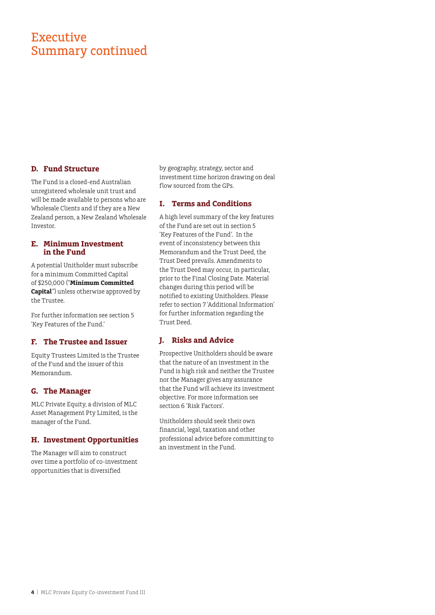## **Executive** Summary continued

#### **D. Fund Structure**

The Fund is a closed-end Australian unregistered wholesale unit trust and will be made available to persons who are Wholesale Clients and if they are a New Zealand person, a New Zealand Wholesale Investor.

#### **E. Minimum Investment in the Fund**

A potential Unitholder must subscribe for a minimum Committed Capital of \$250,000 ("**Minimum Committed Capital**") unless otherwise approved by the Trustee.

For further information see section 5 'Key Features of the Fund.'

#### **F. The Trustee and Issuer**

Equity Trustees Limited is the Trustee of the Fund and the issuer of this Memorandum.

#### **G. The Manager**

MLC Private Equity, a division of MLC Asset Management Pty Limited, is the manager of the Fund.

#### **H. Investment Opportunities**

The Manager will aim to construct over time a portfolio of co-investment opportunities that is diversified

by geography, strategy, sector and investment time horizon drawing on deal flow sourced from the GPs.

#### **I. Terms and Conditions**

A high level summary of the key features of the Fund are set out in section 5 'Key Features of the Fund'. In the event of inconsistency between this Memorandum and the Trust Deed, the Trust Deed prevails. Amendments to the Trust Deed may occur, in particular, prior to the Final Closing Date. Material changes during this period will be notified to existing Unitholders. Please refer to section 7 'Additional Information' for further information regarding the Trust Deed.

#### **J. Risks and Advice**

Prospective Unitholders should be aware that the nature of an investment in the Fund is high risk and neither the Trustee nor the Manager gives any assurance that the Fund will achieve its investment objective. For more information see section 6 'Risk Factors'.

Unitholders should seek their own financial, legal, taxation and other professional advice before committing to an investment in the Fund.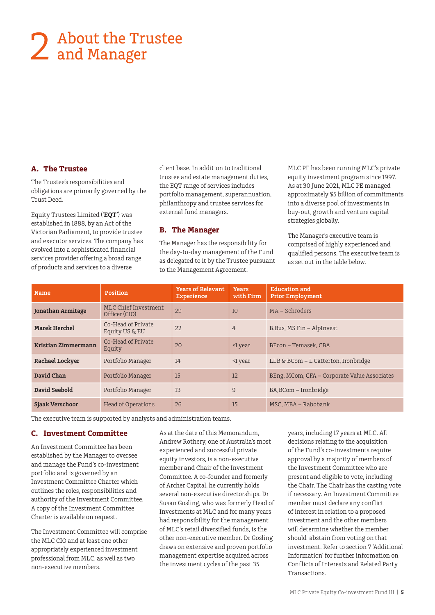# About the Trustee 2 About the Trans<br>and Manager

#### **A. The Trustee**

The Trustee's responsibilities and obligations are primarily governed by the Trust Deed.

Equity Trustees Limited ('**EQT**') was established in 1888, by an Act of the Victorian Parliament, to provide trustee and executor services. The company has evolved into a sophisticated financial services provider offering a broad range of products and services to a diverse

client base. In addition to traditional trustee and estate management duties, the EQT range of services includes portfolio management, superannuation, philanthropy and trustee services for external fund managers.

#### **B. The Manager**

The Manager has the responsibility for the day-to-day management of the Fund as delegated to it by the Trustee pursuant to the Management Agreement.

MLC PE has been running MLC's private equity investment program since 1997. As at 30 June 2021, MLC PE managed approximately \$5 billion of commitments into a diverse pool of investments in buy-out, growth and venture capital strategies globally.

The Manager's executive team is comprised of highly experienced and qualified persons. The executive team is as set out in the table below.

| <b>Name</b>              | Position                              | <b>Years of Relevant</b><br><b>Experience</b> | <b>Years</b><br>with Firm | <b>Education and</b><br><b>Prior Employment</b> |
|--------------------------|---------------------------------------|-----------------------------------------------|---------------------------|-------------------------------------------------|
| <b>Jonathan Armitage</b> | MLC Chief Investment<br>Officer (CIO) | 29                                            | 10                        | $MA - Schroders$                                |
| <b>Marek Herchel</b>     | Co-Head of Private<br>Equity US & EU  | 22                                            | $\overline{4}$            | B.Bus, MS Fin - AlpInvest                       |
| Kristian Zimmermann      | Co-Head of Private<br>Equity          | 20                                            | $\leq 1$ year             | BEcon - Temasek, CBA                            |
| <b>Rachael Lockyer</b>   | Portfolio Manager                     | 14                                            | <1 year                   | LLB & BCom – L Catterton, Ironbridge            |
| David Chan               | Portfolio Manager                     | 15                                            | 12                        | BEng, MCom, CFA - Corporate Value Associates    |
| David Seebold            | Portfolio Manager                     | 13                                            | 9                         | BA, BCom - Ironbridge                           |
| <b>Siaak Verschoor</b>   | <b>Head of Operations</b>             | 26                                            | 15                        | MSC. MBA – Rabobank                             |

The executive team is supported by analysts and administration teams.

#### **C. Investment Committee**

An Investment Committee has been established by the Manager to oversee and manage the Fund's co-investment portfolio and is governed by an Investment Committee Charter which outlines the roles, responsibilities and authority of the Investment Committee. A copy of the Investment Committee Charter is available on request.

The Investment Committee will comprise the MLC CIO and at least one other appropriately experienced investment professional from MLC, as well as two non-executive members.

As at the date of this Memorandum, Andrew Rothery, one of Australia's most experienced and successful private equity investors, is a non-executive member and Chair of the Investment Committee. A co-founder and formerly of Archer Capital, he currently holds several non-executive directorships. Dr Susan Gosling, who was formerly Head of Investments at MLC and for many years had responsibility for the management of MLC's retail diversified funds, is the other non-executive member. Dr Gosling draws on extensive and proven portfolio management expertise acquired across the investment cycles of the past 35

years, including 17 years at MLC. All decisions relating to the acquisition of the Fund's co-investments require approval by a majority of members of the Investment Committee who are present and eligible to vote, including the Chair. The Chair has the casting vote if necessary. An Investment Committee member must declare any conflict of interest in relation to a proposed investment and the other members will determine whether the member should abstain from voting on that investment. Refer to section 7 'Additional Information' for further information on Conflicts of Interests and Related Party Transactions.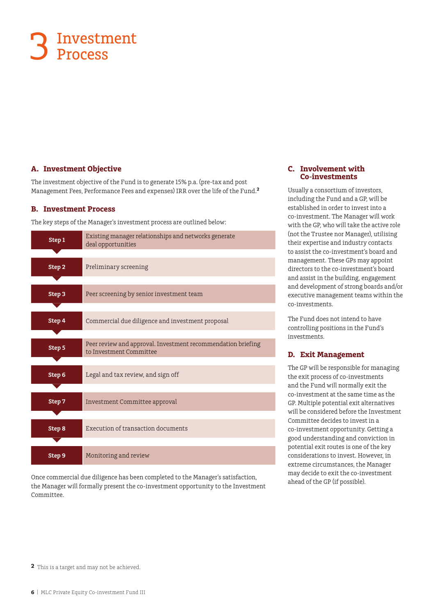# Investment 3 Investn

#### **A. Investment Objective**

The investment objective of the Fund is to generate 15% p.a. (pre-tax and post Management Fees, Performance Fees and expenses) IRR over the life of the Fund.**<sup>2</sup>**

#### **B. Investment Process**

The key steps of the Manager's investment process are outlined below:

| Step 1 | Existing manager relationships and networks generate<br>deal opportunities              |
|--------|-----------------------------------------------------------------------------------------|
|        |                                                                                         |
| Step 2 | Preliminary screening                                                                   |
|        |                                                                                         |
| Step 3 | Peer screening by senior investment team                                                |
|        |                                                                                         |
| Step 4 | Commercial due diligence and investment proposal                                        |
|        |                                                                                         |
| Step 5 | Peer review and approval. Investment recommendation briefing<br>to Investment Committee |
|        |                                                                                         |
| Step 6 | Legal and tax review, and sign off                                                      |
|        |                                                                                         |
| Step 7 | Investment Committee approval                                                           |
|        |                                                                                         |
| Step 8 | Execution of transaction documents                                                      |
|        |                                                                                         |
| Step 9 | Monitoring and review                                                                   |

Once commercial due diligence has been completed to the Manager's satisfaction, the Manager will formally present the co-investment opportunity to the Investment Committee.

#### **C. Involvement with Co-investments**

Usually a consortium of investors, including the Fund and a GP, will be established in order to invest into a co-investment. The Manager will work with the GP, who will take the active role (not the Trustee nor Manager), utilising their expertise and industry contacts to assist the co-investment's board and management. These GPs may appoint directors to the co-investment's board and assist in the building, engagement and development of strong boards and/or executive management teams within the co-investments.

The Fund does not intend to have controlling positions in the Fund's investments.

#### **D. Exit Management**

The GP will be responsible for managing the exit process of co-investments and the Fund will normally exit the co-investment at the same time as the GP. Multiple potential exit alternatives will be considered before the Investment Committee decides to invest in a co-investment opportunity. Getting a good understanding and conviction in potential exit routes is one of the key considerations to invest. However, in extreme circumstances, the Manager may decide to exit the co-investment ahead of the GP (if possible).

**<sup>2</sup>** This is a target and may not be achieved.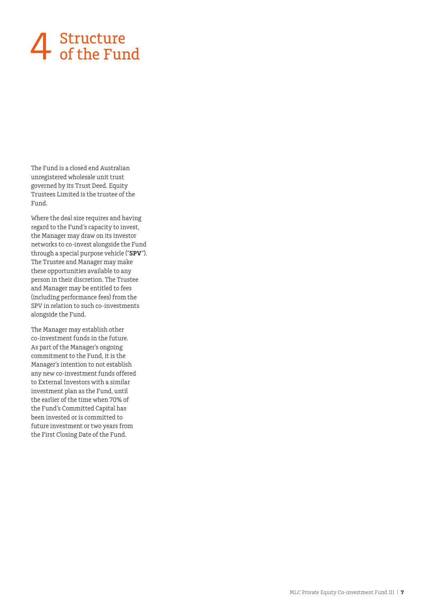# 4 Structure<br>of the Fund

The Fund is a closed end Australian unregistered wholesale unit trust governed by its Trust Deed. Equity Trustees Limited is the trustee of the Fund.

Where the deal size requires and having regard to the Fund's capacity to invest, the Manager may draw on its investor networks to co-invest alongside the Fund through a special purpose vehicle ("**SPV**"). The Trustee and Manager may make these opportunities available to any person in their discretion. The Trustee and Manager may be entitled to fees (including performance fees) from the SPV in relation to such co-investments alongside the Fund.

The Manager may establish other co-investment funds in the future. As part of the Manager's ongoing commitment to the Fund, it is the Manager's intention to not establish any new co-investment funds offered to External Investors with a similar investment plan as the Fund, until the earlier of the time when 70% of the Fund's Committed Capital has been invested or is committed to future investment or two years from the First Closing Date of the Fund.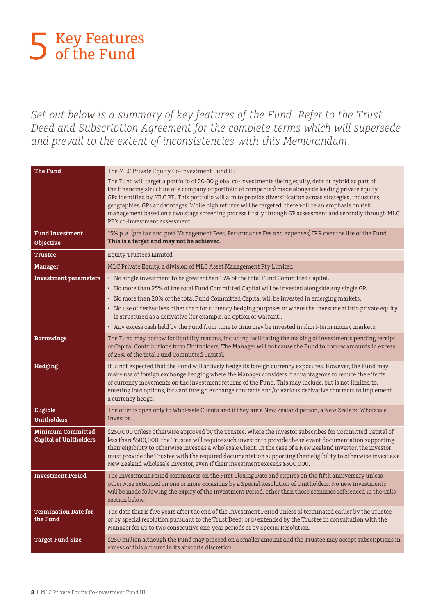# Key Features 5 Key Feature<br>5 of the Fund

*Set out below is a summary of key features of the Fund. Refer to the Trust Deed and Subscription Agreement for the complete terms which will supersede and prevail to the extent of inconsistencies with this Memorandum.*

| <b>The Fund</b>                                           | The MLC Private Equity Co-investment Fund III                                                                                                                                                                                                                                                                                                                                                                                                                                                                                                                                           |
|-----------------------------------------------------------|-----------------------------------------------------------------------------------------------------------------------------------------------------------------------------------------------------------------------------------------------------------------------------------------------------------------------------------------------------------------------------------------------------------------------------------------------------------------------------------------------------------------------------------------------------------------------------------------|
|                                                           | The Fund will target a portfolio of 20-30 global co-investments (being equity, debt or hybrid as part of<br>the financing structure of a company or portfolio of companies) made alongside leading private equity<br>GPs identified by MLC PE. This portfolio will aim to provide diversification across strategies, industries,<br>geographies, GPs and vintages. While high returns will be targeted, there will be an emphasis on risk<br>management based on a two stage screening process firstly through GP assessment and secondly through MLC<br>PE's co-investment assessment. |
| <b>Fund Investment</b><br>Objective                       | 15% p. a. (pre tax and post Management Fees, Performance Fee and expenses) IRR over the life of the Fund.<br>This is a target and may not be achieved.                                                                                                                                                                                                                                                                                                                                                                                                                                  |
| <b>Trustee</b>                                            | <b>Equity Trustees Limited</b>                                                                                                                                                                                                                                                                                                                                                                                                                                                                                                                                                          |
| <b>Manager</b>                                            | MLC Private Equity, a division of MLC Asset Management Pty Limited                                                                                                                                                                                                                                                                                                                                                                                                                                                                                                                      |
| <b>Investment parameters</b>                              | • No single investment to be greater than 15% of the total Fund Committed Capital.<br>· No more than 25% of the total Fund Committed Capital will be invested alongside any single GP.<br>• No more than 20% of the total Fund Committed Capital will be invested in emerging markets.<br>· No use of derivatives other than for currency hedging purposes or where the investment into private equity<br>is structured as a derivative (for example, an option or warrant).<br>• Any excess cash held by the Fund from time to time may be invested in short-term money markets.       |
| <b>Borrowings</b>                                         | The Fund may borrow for liquidity reasons, including facilitating the making of investments pending receipt<br>of Capital Contributions from Unitholders. The Manager will not cause the Fund to borrow amounts in excess<br>of 25% of the total Fund Committed Capital.                                                                                                                                                                                                                                                                                                                |
| Hedging                                                   | It is not expected that the Fund will actively hedge its foreign currency exposures. However, the Fund may<br>make use of foreign exchange hedging where the Manager considers it advantageous to reduce the effects<br>of currency movements on the investment returns of the Fund. This may include, but is not limited to,<br>entering into options, forward foreign exchange contracts and/or various derivative contracts to implement<br>a currency hedge.                                                                                                                        |
| Eligible<br><b>Unitholders</b>                            | The offer is open only to Wholesale Clients and if they are a New Zealand person, a New Zealand Wholesale<br>Investor.                                                                                                                                                                                                                                                                                                                                                                                                                                                                  |
| <b>Minimum Committed</b><br><b>Capital of Unitholders</b> | \$250,000 unless otherwise approved by the Trustee. Where the investor subscribes for Committed Capital of<br>less than \$500,000, the Trustee will require such investor to provide the relevant documentation supporting<br>their eligibility to otherwise invest as a Wholesale Client. In the case of a New Zealand investor, the investor<br>must provide the Trustee with the required documentation supporting their eligibility to otherwise invest as a<br>New Zealand Wholesale Investor, even if their investment exceeds \$500,000.                                         |
| <b>Investment Period</b>                                  | The Investment Period commences on the First Closing Date and expires on the fifth anniversary unless<br>otherwise extended on one or more occasions by a Special Resolution of Unitholders. No new investments<br>will be made following the expiry of the Investment Period, other than those scenarios referenced in the Calls<br>section below.                                                                                                                                                                                                                                     |
| <b>Termination Date for</b><br>the Fund                   | The date that is five years after the end of the Investment Period unless a) terminated earlier by the Trustee<br>or by special resolution pursuant to the Trust Deed; or b) extended by the Trustee in consultation with the<br>Manager for up to two consecutive one-year periods or by Special Resolution.                                                                                                                                                                                                                                                                           |
| <b>Target Fund Size</b>                                   | \$250 million although the Fund may proceed on a smaller amount and the Trustee may accept subscriptions in<br>excess of this amount in its absolute discretion.                                                                                                                                                                                                                                                                                                                                                                                                                        |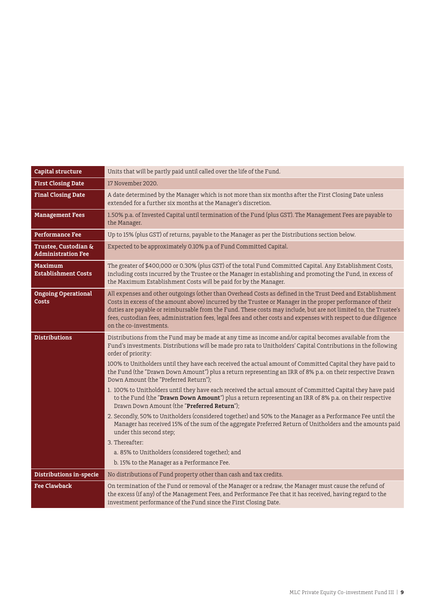| Capital structure                                            | Units that will be partly paid until called over the life of the Fund.                                                                                                                                                                                                                                                                                                                                                                                                                                                                                                                                                                                                                                                                                                                                                                                                                                                                                                                                                                                                                                                                                                 |  |  |
|--------------------------------------------------------------|------------------------------------------------------------------------------------------------------------------------------------------------------------------------------------------------------------------------------------------------------------------------------------------------------------------------------------------------------------------------------------------------------------------------------------------------------------------------------------------------------------------------------------------------------------------------------------------------------------------------------------------------------------------------------------------------------------------------------------------------------------------------------------------------------------------------------------------------------------------------------------------------------------------------------------------------------------------------------------------------------------------------------------------------------------------------------------------------------------------------------------------------------------------------|--|--|
| <b>First Closing Date</b>                                    | 17 November 2020.                                                                                                                                                                                                                                                                                                                                                                                                                                                                                                                                                                                                                                                                                                                                                                                                                                                                                                                                                                                                                                                                                                                                                      |  |  |
| <b>Final Closing Date</b>                                    | A date determined by the Manager which is not more than six months after the First Closing Date unless<br>extended for a further six months at the Manager's discretion.                                                                                                                                                                                                                                                                                                                                                                                                                                                                                                                                                                                                                                                                                                                                                                                                                                                                                                                                                                                               |  |  |
| <b>Management Fees</b>                                       | 1.50% p.a. of Invested Capital until termination of the Fund (plus GST). The Management Fees are payable to<br>the Manager.                                                                                                                                                                                                                                                                                                                                                                                                                                                                                                                                                                                                                                                                                                                                                                                                                                                                                                                                                                                                                                            |  |  |
| <b>Performance Fee</b>                                       | Up to 15% (plus GST) of returns, payable to the Manager as per the Distributions section below.                                                                                                                                                                                                                                                                                                                                                                                                                                                                                                                                                                                                                                                                                                                                                                                                                                                                                                                                                                                                                                                                        |  |  |
| <b>Trustee, Custodian &amp;</b><br><b>Administration Fee</b> | Expected to be approximately 0.10% p.a of Fund Committed Capital.                                                                                                                                                                                                                                                                                                                                                                                                                                                                                                                                                                                                                                                                                                                                                                                                                                                                                                                                                                                                                                                                                                      |  |  |
| <b>Maximum</b><br><b>Establishment Costs</b>                 | The greater of \$400,000 or 0.30% (plus GST) of the total Fund Committed Capital. Any Establishment Costs,<br>including costs incurred by the Trustee or the Manager in establishing and promoting the Fund, in excess of<br>the Maximum Establishment Costs will be paid for by the Manager.                                                                                                                                                                                                                                                                                                                                                                                                                                                                                                                                                                                                                                                                                                                                                                                                                                                                          |  |  |
| <b>Ongoing Operational</b><br>Costs                          | All expenses and other outgoings (other than Overhead Costs as defined in the Trust Deed and Establishment<br>Costs in excess of the amount above) incurred by the Trustee or Manager in the proper performance of their<br>duties are payable or reimbursable from the Fund. These costs may include, but are not limited to, the Trustee's<br>fees, custodian fees, administration fees, legal fees and other costs and expenses with respect to due diligence<br>on the co-investments.                                                                                                                                                                                                                                                                                                                                                                                                                                                                                                                                                                                                                                                                             |  |  |
| <b>Distributions</b>                                         | Distributions from the Fund may be made at any time as income and/or capital becomes available from the<br>Fund's investments. Distributions will be made pro rata to Unitholders' Capital Contributions in the following<br>order of priority:<br>100% to Unitholders until they have each received the actual amount of Committed Capital they have paid to<br>the Fund (the "Drawn Down Amount") plus a return representing an IRR of 8% p.a. on their respective Drawn<br>Down Amount (the "Preferred Return"):<br>1. 100% to Unitholders until they have each received the actual amount of Committed Capital they have paid<br>to the Fund (the "Drawn Down Amount") plus a return representing an IRR of 8% p.a. on their respective<br>Drawn Down Amount (the "Preferred Return");<br>2. Secondly, 50% to Unitholders (considered together) and 50% to the Manager as a Performance Fee until the<br>Manager has received 15% of the sum of the aggregate Preferred Return of Unitholders and the amounts paid<br>under this second step;<br>3. Thereafter:<br>a. 85% to Unitholders (considered together); and<br>b. 15% to the Manager as a Performance Fee. |  |  |
| Distributions in-specie                                      | No distributions of Fund property other than cash and tax credits.                                                                                                                                                                                                                                                                                                                                                                                                                                                                                                                                                                                                                                                                                                                                                                                                                                                                                                                                                                                                                                                                                                     |  |  |
| <b>Fee Clawback</b>                                          | On termination of the Fund or removal of the Manager or a redraw, the Manager must cause the refund of<br>the excess (if any) of the Management Fees, and Performance Fee that it has received, having regard to the<br>investment performance of the Fund since the First Closing Date.                                                                                                                                                                                                                                                                                                                                                                                                                                                                                                                                                                                                                                                                                                                                                                                                                                                                               |  |  |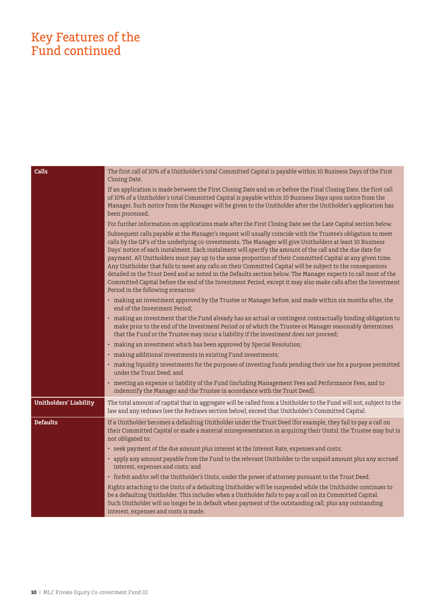## Key Features of the Fund continued

| Calls                         | The first call of 10% of a Unitholder's total Committed Capital is payable within 10 Business Days of the First<br>Closing Date.                                                                                                                                                                                                                                                                                                                                                                                                                                                                                                                                                                                                                                                                                                             |
|-------------------------------|----------------------------------------------------------------------------------------------------------------------------------------------------------------------------------------------------------------------------------------------------------------------------------------------------------------------------------------------------------------------------------------------------------------------------------------------------------------------------------------------------------------------------------------------------------------------------------------------------------------------------------------------------------------------------------------------------------------------------------------------------------------------------------------------------------------------------------------------|
|                               | If an application is made between the First Closing Date and on or before the Final Closing Date, the first call<br>of 10% of a Unitholder's total Committed Capital is payable within 10 Business Days upon notice from the<br>Manager. Such notice from the Manager will be given to the Unitholder after the Unitholder's application has<br>been processed.                                                                                                                                                                                                                                                                                                                                                                                                                                                                              |
|                               | For further information on applications made after the First Closing Date see the Late Capital section below.                                                                                                                                                                                                                                                                                                                                                                                                                                                                                                                                                                                                                                                                                                                                |
|                               | Subsequent calls payable at the Manager's request will usually coincide with the Trustee's obligation to meet<br>calls by the GP's of the underlying co-investments. The Manager will give Unitholders at least 10 Business<br>Days' notice of each instalment. Each instalment will specify the amount of the call and the due date for<br>payment. All Unitholders must pay up to the same proportion of their Committed Capital at any given time.<br>Any Unitholder that fails to meet any calls on their Committed Capital will be subject to the consequences<br>detailed in the Trust Deed and as noted in the Defaults section below. The Manager expects to call most of the<br>Committed Capital before the end of the Investment Period, except it may also make calls after the Investment<br>Period in the following scenarios: |
|                               | • making an investment approved by the Trustee or Manager before, and made within six months after, the<br>end of the Investment Period;                                                                                                                                                                                                                                                                                                                                                                                                                                                                                                                                                                                                                                                                                                     |
|                               | • making an investment that the Fund already has an actual or contingent contractually binding obligation to<br>make prior to the end of the Investment Period or of which the Trustee or Manager reasonably determines<br>that the Fund or the Trustee may incur a liability if the investment does not proceed;                                                                                                                                                                                                                                                                                                                                                                                                                                                                                                                            |
|                               | • making an investment which has been approved by Special Resolution;                                                                                                                                                                                                                                                                                                                                                                                                                                                                                                                                                                                                                                                                                                                                                                        |
|                               | • making additional investments in existing Fund investments;                                                                                                                                                                                                                                                                                                                                                                                                                                                                                                                                                                                                                                                                                                                                                                                |
|                               | • making liquidity investments for the purposes of investing funds pending their use for a purpose permitted<br>under the Trust Deed; and                                                                                                                                                                                                                                                                                                                                                                                                                                                                                                                                                                                                                                                                                                    |
|                               | • meeting an expense or liability of the Fund (including Management Fees and Performance Fees, and to<br>indemnify the Manager and the Trustee in accordance with the Trust Deed).                                                                                                                                                                                                                                                                                                                                                                                                                                                                                                                                                                                                                                                           |
| <b>Unitholders' Liability</b> | The total amount of capital that in aggregate will be called from a Unitholder to the Fund will not, subject to the<br>law and any redraws (see the Redraws section below), exceed that Unitholder's Committed Capital.                                                                                                                                                                                                                                                                                                                                                                                                                                                                                                                                                                                                                      |
| <b>Defaults</b>               | If a Unitholder becomes a defaulting Unitholder under the Trust Deed (for example, they fail to pay a call on<br>their Committed Capital or made a material misrepresentation in acquiring their Units), the Trustee may but is<br>not obligated to:                                                                                                                                                                                                                                                                                                                                                                                                                                                                                                                                                                                         |
|                               | • seek payment of the due amount plus interest at the Interest Rate, expenses and costs;                                                                                                                                                                                                                                                                                                                                                                                                                                                                                                                                                                                                                                                                                                                                                     |
|                               | • apply any amount payable from the Fund to the relevant Unitholder to the unpaid amount plus any accrued<br>interest, expenses and costs; and                                                                                                                                                                                                                                                                                                                                                                                                                                                                                                                                                                                                                                                                                               |
|                               | • forfeit and/or sell the Unitholder's Units, under the power of attorney pursuant to the Trust Deed.                                                                                                                                                                                                                                                                                                                                                                                                                                                                                                                                                                                                                                                                                                                                        |
|                               | Rights attaching to the Units of a defaulting Unitholder will be suspended while the Unitholder continues to<br>be a defaulting Unitholder. This includes when a Unitholder fails to pay a call on its Committed Capital.<br>Such Unitholder will no longer be in default when payment of the outstanding call, plus any outstanding<br>interest, expenses and costs is made.                                                                                                                                                                                                                                                                                                                                                                                                                                                                |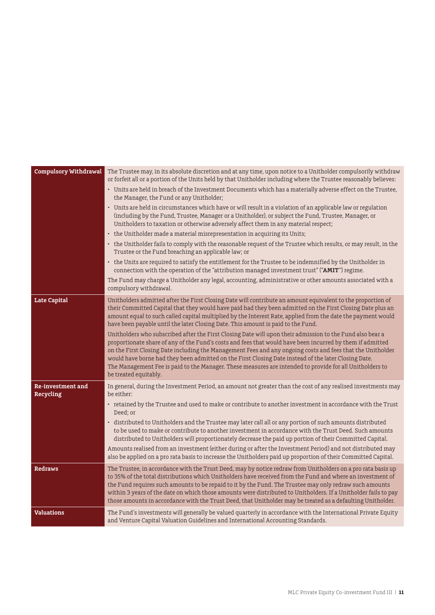| Compulsory Withdrawal                        | The Trustee may, in its absolute discretion and at any time, upon notice to a Unitholder compulsorily withdraw<br>or forfeit all or a portion of the Units held by that Unitholder including where the Trustee reasonably believes:                                                                                                                                                                                                                                                                                                                                               |
|----------------------------------------------|-----------------------------------------------------------------------------------------------------------------------------------------------------------------------------------------------------------------------------------------------------------------------------------------------------------------------------------------------------------------------------------------------------------------------------------------------------------------------------------------------------------------------------------------------------------------------------------|
|                                              | • Units are held in breach of the Investment Documents which has a materially adverse effect on the Trustee,<br>the Manager, the Fund or any Unitholder;                                                                                                                                                                                                                                                                                                                                                                                                                          |
|                                              | Units are held in circumstances which have or will result in a violation of an applicable law or regulation<br>$\bullet$<br>(including by the Fund, Trustee, Manager or a Unitholder), or subject the Fund, Trustee, Manager, or<br>Unitholders to taxation or otherwise adversely affect them in any material respect;                                                                                                                                                                                                                                                           |
|                                              | • the Unitholder made a material misrepresentation in acquiring its Units;                                                                                                                                                                                                                                                                                                                                                                                                                                                                                                        |
|                                              | • the Unitholder fails to comply with the reasonable request of the Trustee which results, or may result, in the<br>Trustee or the Fund breaching an applicable law; or                                                                                                                                                                                                                                                                                                                                                                                                           |
|                                              | • the Units are required to satisfy the entitlement for the Trustee to be indemnified by the Unitholder in<br>connection with the operation of the "attribution managed investment trust" ("AMIT") regime.                                                                                                                                                                                                                                                                                                                                                                        |
|                                              | The Fund may charge a Unitholder any legal, accounting, administrative or other amounts associated with a<br>compulsory withdrawal.                                                                                                                                                                                                                                                                                                                                                                                                                                               |
| <b>Late Capital</b>                          | Unitholders admitted after the First Closing Date will contribute an amount equivalent to the proportion of<br>their Committed Capital that they would have paid had they been admitted on the First Closing Date plus an<br>amount equal to such called capital multiplied by the Interest Rate, applied from the date the payment would<br>have been payable until the later Closing Date. This amount is paid to the Fund.                                                                                                                                                     |
|                                              | Unitholders who subscribed after the First Closing Date will upon their admission to the Fund also bear a<br>proportionate share of any of the Fund's costs and fees that would have been incurred by them if admitted<br>on the First Closing Date including the Management Fees and any ongoing costs and fees that the Unitholder<br>would have borne had they been admitted on the First Closing Date instead of the later Closing Date.<br>The Management Fee is paid to the Manager. These measures are intended to provide for all Unitholders to<br>be treated equitably. |
| <b>Re-investment and</b><br><b>Recycling</b> | In general, during the Investment Period, an amount not greater than the cost of any realised investments may<br>be either:                                                                                                                                                                                                                                                                                                                                                                                                                                                       |
|                                              | • retained by the Trustee and used to make or contribute to another investment in accordance with the Trust<br>Deed; or                                                                                                                                                                                                                                                                                                                                                                                                                                                           |
|                                              | · distributed to Unitholders and the Trustee may later call all or any portion of such amounts distributed<br>to be used to make or contribute to another investment in accordance with the Trust Deed. Such amounts<br>distributed to Unitholders will proportionately decrease the paid up portion of their Committed Capital.                                                                                                                                                                                                                                                  |
|                                              | Amounts realised from an investment (either during or after the Investment Period) and not distributed may<br>also be applied on a pro rata basis to increase the Unitholders paid up proportion of their Committed Capital.                                                                                                                                                                                                                                                                                                                                                      |
| Redraws                                      | The Trustee, in accordance with the Trust Deed, may by notice redraw from Unitholders on a pro rata basis up<br>to 35% of the total distributions which Unitholders have received from the Fund and where an investment of<br>the Fund requires such amounts to be repaid to it by the Fund. The Trustee may only redraw such amounts<br>within 3 years of the date on which those amounts were distributed to Unitholders. If a Unitholder fails to pay<br>those amounts in accordance with the Trust Deed, that Unitholder may be treated as a defaulting Unitholder.           |
| <b>Valuations</b>                            | The Fund's investments will generally be valued quarterly in accordance with the International Private Equity<br>and Venture Capital Valuation Guidelines and International Accounting Standards.                                                                                                                                                                                                                                                                                                                                                                                 |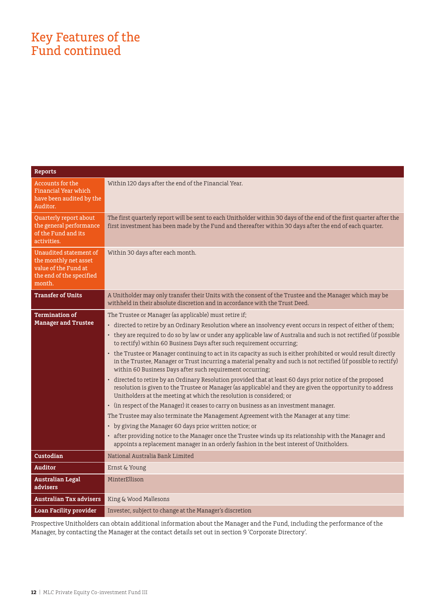## Key Features of the Fund continued

| <b>Reports</b>                                                                                                |                                                                                                                                                                                                                                                                                                   |
|---------------------------------------------------------------------------------------------------------------|---------------------------------------------------------------------------------------------------------------------------------------------------------------------------------------------------------------------------------------------------------------------------------------------------|
| <b>Accounts for the</b><br>Financial Year which<br>have been audited by the<br>Auditor.                       | Within 120 days after the end of the Financial Year.                                                                                                                                                                                                                                              |
| Quarterly report about<br>the general performance<br>of the Fund and its<br>activities.                       | The first quarterly report will be sent to each Unitholder within 30 days of the end of the first quarter after the<br>first investment has been made by the Fund and thereafter within 30 days after the end of each quarter.                                                                    |
| Unaudited statement of<br>the monthly net asset<br>value of the Fund at<br>the end of the specified<br>month. | Within 30 days after each month.                                                                                                                                                                                                                                                                  |
| <b>Transfer of Units</b>                                                                                      | A Unitholder may only transfer their Units with the consent of the Trustee and the Manager which may be<br>withheld in their absolute discretion and in accordance with the Trust Deed.                                                                                                           |
| <b>Termination of</b>                                                                                         | The Trustee or Manager (as applicable) must retire if;                                                                                                                                                                                                                                            |
| <b>Manager and Trustee</b>                                                                                    | · directed to retire by an Ordinary Resolution where an insolvency event occurs in respect of either of them;                                                                                                                                                                                     |
|                                                                                                               | • they are required to do so by law or under any applicable law of Australia and such is not rectified (if possible<br>to rectify) within 60 Business Days after such requirement occurring;                                                                                                      |
|                                                                                                               | • the Trustee or Manager continuing to act in its capacity as such is either prohibited or would result directly<br>in the Trustee, Manager or Trust incurring a material penalty and such is not rectified (if possible to rectify)<br>within 60 Business Days after such requirement occurring; |
|                                                                                                               | · directed to retire by an Ordinary Resolution provided that at least 60 days prior notice of the proposed<br>resolution is given to the Trustee or Manager (as applicable) and they are given the opportunity to address<br>Unitholders at the meeting at which the resolution is considered; or |
|                                                                                                               | • (in respect of the Manager) it ceases to carry on business as an investment manager.                                                                                                                                                                                                            |
|                                                                                                               | The Trustee may also terminate the Management Agreement with the Manager at any time:                                                                                                                                                                                                             |
|                                                                                                               | • by giving the Manager 60 days prior written notice; or                                                                                                                                                                                                                                          |
|                                                                                                               | • after providing notice to the Manager once the Trustee winds up its relationship with the Manager and<br>appoints a replacement manager in an orderly fashion in the best interest of Unitholders.                                                                                              |
| Custodian                                                                                                     | National Australia Bank Limited                                                                                                                                                                                                                                                                   |
| <b>Auditor</b>                                                                                                | Ernst & Young                                                                                                                                                                                                                                                                                     |
| <b>Australian Legal</b><br>advisers                                                                           | MinterEllison                                                                                                                                                                                                                                                                                     |
| <b>Australian Tax advisers</b>                                                                                | King & Wood Mallesons                                                                                                                                                                                                                                                                             |
| <b>Loan Facility provider</b>                                                                                 | Investec, subject to change at the Manager's discretion                                                                                                                                                                                                                                           |
|                                                                                                               |                                                                                                                                                                                                                                                                                                   |

Prospective Unitholders can obtain additional information about the Manager and the Fund, including the performance of the Manager, by contacting the Manager at the contact details set out in section 9 'Corporate Directory'.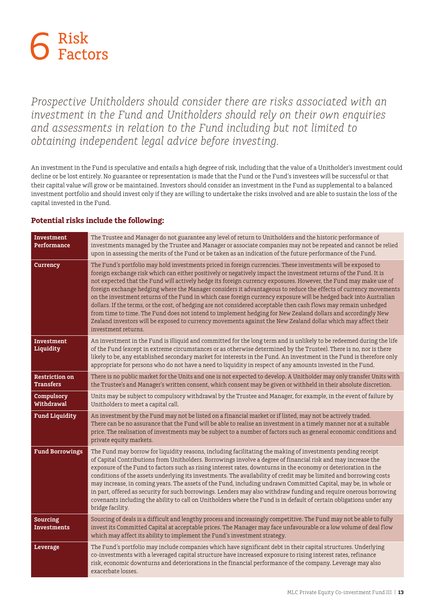

*Prospective Unitholders should consider there are risks associated with an investment in the Fund and Unitholders should rely on their own enquiries and assessments in relation to the Fund including but not limited to obtaining independent legal advice before investing.*

An investment in the Fund is speculative and entails a high degree of risk, including that the value of a Unitholder's investment could decline or be lost entirely. No guarantee or representation is made that the Fund or the Fund's investees will be successful or that their capital value will grow or be maintained. Investors should consider an investment in the Fund as supplemental to a balanced investment portfolio and should invest only if they are willing to undertake the risks involved and are able to sustain the loss of the capital invested in the Fund.

#### **Investment Performance**  The Trustee and Manager do not guarantee any level of return to Unitholders and the historic performance of investments managed by the Trustee and Manager or associate companies may not be repeated and cannot be relied upon in assessing the merits of the Fund or be taken as an indication of the future performance of the Fund. **Currency** The Fund's portfolio may hold investments priced in foreign currencies. These investments will be exposed to foreign exchange risk which can either positively or negatively impact the investment returns of the Fund. It is not expected that the Fund will actively hedge its foreign currency exposures. However, the Fund may make use of foreign exchange hedging where the Manager considers it advantageous to reduce the effects of currency movements on the investment returns of the Fund in which case foreign currency exposure will be hedged back into Australian dollars. If the terms, or the cost, of hedging are not considered acceptable then cash flows may remain unhedged from time to time. The Fund does not intend to implement hedging for New Zealand dollars and accordingly New Zealand investors will be exposed to currency movements against the New Zealand dollar which may affect their investment returns. **Investment Liquidity** An investment in the Fund is illiquid and committed for the long term and is unlikely to be redeemed during the life of the Fund (except in extreme circumstances or as otherwise determined by the Trustee). There is no, nor is there likely to be, any established secondary market for interests in the Fund. An investment in the Fund is therefore only appropriate for persons who do not have a need to liquidity in respect of any amounts invested in the Fund. **Restriction on Transfers** There is no public market for the Units and one is not expected to develop. A Unitholder may only transfer Units with the Trustee's and Manager's written consent, which consent may be given or withheld in their absolute discretion. **Compulsory Withdrawal** Units may be subject to compulsory withdrawal by the Trustee and Manager, for example, in the event of failure by Unitholders to meet a capital call. **Fund Liquidity** An investment by the Fund may not be listed on a financial market or if listed, may not be actively traded. There can be no assurance that the Fund will be able to realise an investment in a timely manner nor at a suitable price. The realisation of investments may be subject to a number of factors such as general economic conditions and private equity markets. **Fund Borrowings** The Fund may borrow for liquidity reasons, including facilitating the making of investments pending receipt of Capital Contributions from Unitholders. Borrowings involve a degree of financial risk and may increase the exposure of the Fund to factors such as rising interest rates, downturns in the economy or deterioration in the conditions of the assets underlying its investments. The availability of credit may be limited and borrowing costs may increase, in coming years. The assets of the Fund, including undrawn Committed Capital, may be, in whole or in part, offered as security for such borrowings. Lenders may also withdraw funding and require onerous borrowing covenants including the ability to call on Unitholders where the Fund is in default of certain obligations under any bridge facility. **Sourcing Investments** Sourcing of deals is a difficult and lengthy process and increasingly competitive. The Fund may not be able to fully invest its Committed Capital at acceptable prices. The Manager may face unfavourable or a low volume of deal flow which may affect its ability to implement the Fund's investment strategy. **Leverage** The Fund's portfolio may include companies which have significant debt in their capital structures. Underlying co-investments with a leveraged capital structure have increased exposure to rising interest rates, refinance risk, economic downturns and deteriorations in the financial performance of the company. Leverage may also exacerbate losses.

#### **Potential risks include the following:**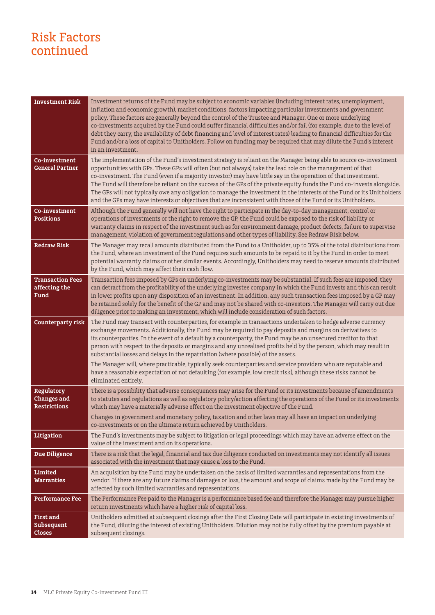## Risk Factors continued

| <b>Investment Risk</b>                                         | Investment returns of the Fund may be subject to economic variables (including interest rates, unemployment,<br>inflation and economic growth), market conditions, factors impacting particular investments and government<br>policy. These factors are generally beyond the control of the Trustee and Manager. One or more underlying<br>co-investments acquired by the Fund could suffer financial difficulties and/or fail (for example, due to the level of<br>debt they carry, the availability of debt financing and level of interest rates) leading to financial difficulties for the<br>Fund and/or a loss of capital to Unitholders. Follow on funding may be required that may dilute the Fund's interest<br>in an investment.                                              |
|----------------------------------------------------------------|-----------------------------------------------------------------------------------------------------------------------------------------------------------------------------------------------------------------------------------------------------------------------------------------------------------------------------------------------------------------------------------------------------------------------------------------------------------------------------------------------------------------------------------------------------------------------------------------------------------------------------------------------------------------------------------------------------------------------------------------------------------------------------------------|
| Co-investment<br><b>General Partner</b>                        | The implementation of the Fund's investment strategy is reliant on the Manager being able to source co-investment<br>opportunities with GPs. These GPs will often (but not always) take the lead role on the management of that<br>co-investment. The Fund (even if a majority investor) may have little say in the operation of that investment.<br>The Fund will therefore be reliant on the success of the GPs of the private equity funds the Fund co-invests alongside.<br>The GPs will not typically owe any obligation to manage the investment in the interests of the Fund or its Unitholders<br>and the GPs may have interests or objectives that are inconsistent with those of the Fund or its Unitholders.                                                                 |
| Co-investment<br><b>Positions</b>                              | Although the Fund generally will not have the right to participate in the day-to-day management, control or<br>operations of investments or the right to remove the GP, the Fund could be exposed to the risk of liability or<br>warranty claims in respect of the investment such as for environment damage, product defects, failure to supervise<br>management, violation of government regulations and other types of liability. See Redraw Risk below.                                                                                                                                                                                                                                                                                                                             |
| <b>Redraw Risk</b>                                             | The Manager may recall amounts distributed from the Fund to a Unitholder, up to 35% of the total distributions from<br>the Fund, where an investment of the Fund requires such amounts to be repaid to it by the Fund in order to meet<br>potential warranty claims or other similar events. Accordingly, Unitholders may need to reserve amounts distributed<br>by the Fund, which may affect their cash flow.                                                                                                                                                                                                                                                                                                                                                                         |
| <b>Transaction Fees</b><br>affecting the<br>Fund               | Transaction fees imposed by GPs on underlying co-investments may be substantial. If such fees are imposed, they<br>can detract from the profitability of the underlying investee company in which the Fund invests and this can result<br>in lower profits upon any disposition of an investment. In addition, any such transaction fees imposed by a GP may<br>be retained solely for the benefit of the GP and may not be shared with co-investors. The Manager will carry out due<br>diligence prior to making an investment, which will include consideration of such factors.                                                                                                                                                                                                      |
| <b>Counterparty risk</b>                                       | The Fund may transact with counterparties, for example in transactions undertaken to hedge adverse currency<br>exchange movements. Additionally, the Fund may be required to pay deposits and margins on derivatives to<br>its counterparties. In the event of a default by a counterparty, the Fund may be an unsecured creditor to that<br>person with respect to the deposits or margins and any unrealised profits held by the person, which may result in<br>substantial losses and delays in the repatriation (where possible) of the assets.<br>The Manager will, where practicable, typically seek counterparties and service providers who are reputable and<br>have a reasonable expectation of not defaulting (for example, low credit risk), although these risks cannot be |
| <b>Regulatory</b><br><b>Changes and</b><br><b>Restrictions</b> | eliminated entirely.<br>There is a possibility that adverse consequences may arise for the Fund or its investments because of amendments<br>to statutes and regulations as well as regulatory policy/action affecting the operations of the Fund or its investments<br>which may have a materially adverse effect on the investment objective of the Fund.                                                                                                                                                                                                                                                                                                                                                                                                                              |
|                                                                | Changes in government and monetary policy, taxation and other laws may all have an impact on underlying<br>co-investments or on the ultimate return achieved by Unitholders.                                                                                                                                                                                                                                                                                                                                                                                                                                                                                                                                                                                                            |
| Litigation                                                     | The Fund's investments may be subject to litigation or legal proceedings which may have an adverse effect on the<br>value of the investment and on its operations.                                                                                                                                                                                                                                                                                                                                                                                                                                                                                                                                                                                                                      |
| Due Diligence                                                  | There is a risk that the legal, financial and tax due diligence conducted on investments may not identify all issues<br>associated with the investment that may cause a loss to the Fund.                                                                                                                                                                                                                                                                                                                                                                                                                                                                                                                                                                                               |
| Limited<br><b>Warranties</b>                                   | An acquisition by the Fund may be undertaken on the basis of limited warranties and representations from the<br>vendor. If there are any future claims of damages or loss, the amount and scope of claims made by the Fund may be<br>affected by such limited warranties and representations.                                                                                                                                                                                                                                                                                                                                                                                                                                                                                           |
| <b>Performance Fee</b>                                         | The Performance Fee paid to the Manager is a performance based fee and therefore the Manager may pursue higher<br>return investments which have a higher risk of capital loss.                                                                                                                                                                                                                                                                                                                                                                                                                                                                                                                                                                                                          |
| <b>First and</b><br>Subsequent<br><b>Closes</b>                | Unitholders admitted at subsequent closings after the First Closing Date will participate in existing investments of<br>the Fund, diluting the interest of existing Unitholders. Dilution may not be fully offset by the premium payable at<br>subsequent closings.                                                                                                                                                                                                                                                                                                                                                                                                                                                                                                                     |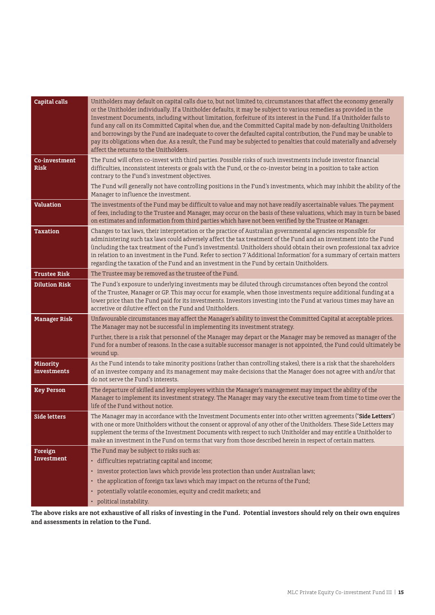| Capital calls           | Unitholders may default on capital calls due to, but not limited to, circumstances that affect the economy generally<br>or the Unitholder individually. If a Unitholder defaults, it may be subject to various remedies as provided in the<br>Investment Documents, including without limitation, forfeiture of its interest in the Fund. If a Unitholder fails to<br>fund any call on its Committed Capital when due, and the Committed Capital made by non-defaulting Unitholders<br>and borrowings by the Fund are inadequate to cover the defaulted capital contribution, the Fund may be unable to<br>pay its obligations when due. As a result, the Fund may be subjected to penalties that could materially and adversely<br>affect the returns to the Unitholders. |
|-------------------------|----------------------------------------------------------------------------------------------------------------------------------------------------------------------------------------------------------------------------------------------------------------------------------------------------------------------------------------------------------------------------------------------------------------------------------------------------------------------------------------------------------------------------------------------------------------------------------------------------------------------------------------------------------------------------------------------------------------------------------------------------------------------------|
| Co-investment<br>Risk   | The Fund will often co-invest with third parties. Possible risks of such investments include investor financial<br>difficulties, inconsistent interests or goals with the Fund, or the co-investor being in a position to take action<br>contrary to the Fund's investment objectives.                                                                                                                                                                                                                                                                                                                                                                                                                                                                                     |
|                         | The Fund will generally not have controlling positions in the Fund's investments, which may inhibit the ability of the<br>Manager to influence the investment.                                                                                                                                                                                                                                                                                                                                                                                                                                                                                                                                                                                                             |
| <b>Valuation</b>        | The investments of the Fund may be difficult to value and may not have readily ascertainable values. The payment<br>of fees, including to the Trustee and Manager, may occur on the basis of these valuations, which may in turn be based<br>on estimates and information from third parties which have not been verified by the Trustee or Manager.                                                                                                                                                                                                                                                                                                                                                                                                                       |
| <b>Taxation</b>         | Changes to tax laws, their interpretation or the practice of Australian governmental agencies responsible for<br>administering such tax laws could adversely affect the tax treatment of the Fund and an investment into the Fund<br>(including the tax treatment of the Fund's investments). Unitholders should obtain their own professional tax advice<br>in relation to an investment in the Fund. Refer to section 7 'Additional Information' for a summary of certain matters<br>regarding the taxation of the Fund and an investment in the Fund by certain Unitholders.                                                                                                                                                                                            |
| <b>Trustee Risk</b>     | The Trustee may be removed as the trustee of the Fund.                                                                                                                                                                                                                                                                                                                                                                                                                                                                                                                                                                                                                                                                                                                     |
| <b>Dilution Risk</b>    | The Fund's exposure to underlying investments may be diluted through circumstances often beyond the control<br>of the Trustee, Manager or GP. This may occur for example, when those investments require additional funding at a<br>lower price than the Fund paid for its investments. Investors investing into the Fund at various times may have an<br>accretive or dilutive effect on the Fund and Unitholders.                                                                                                                                                                                                                                                                                                                                                        |
| <b>Manager Risk</b>     | Unfavourable circumstances may affect the Manager's ability to invest the Committed Capital at acceptable prices.<br>The Manager may not be successful in implementing its investment strategy.                                                                                                                                                                                                                                                                                                                                                                                                                                                                                                                                                                            |
|                         | Further, there is a risk that personnel of the Manager may depart or the Manager may be removed as manager of the<br>Fund for a number of reasons. In the case a suitable successor manager is not appointed, the Fund could ultimately be<br>wound up.                                                                                                                                                                                                                                                                                                                                                                                                                                                                                                                    |
| Minority<br>investments | As the Fund intends to take minority positions (rather than controlling stakes), there is a risk that the shareholders<br>of an investee company and its management may make decisions that the Manager does not agree with and/or that<br>do not serve the Fund's interests.                                                                                                                                                                                                                                                                                                                                                                                                                                                                                              |
| <b>Key Person</b>       | The departure of skilled and key employees within the Manager's management may impact the ability of the<br>Manager to implement its investment strategy. The Manager may vary the executive team from time to time over the<br>life of the Fund without notice.                                                                                                                                                                                                                                                                                                                                                                                                                                                                                                           |
| Side letters            | The Manager may in accordance with the Investment Documents enter into other written agreements ("Side Letters")<br>with one or more Unitholders without the consent or approval of any other of the Unitholders. These Side Letters may<br>supplement the terms of the Investment Documents with respect to such Unitholder and may entitle a Unitholder to<br>make an investment in the Fund on terms that vary from those described herein in respect of certain matters.                                                                                                                                                                                                                                                                                               |
| Foreign                 | The Fund may be subject to risks such as:                                                                                                                                                                                                                                                                                                                                                                                                                                                                                                                                                                                                                                                                                                                                  |
| Investment              | · difficulties repatriating capital and income;                                                                                                                                                                                                                                                                                                                                                                                                                                                                                                                                                                                                                                                                                                                            |
|                         | · investor protection laws which provide less protection than under Australian laws;                                                                                                                                                                                                                                                                                                                                                                                                                                                                                                                                                                                                                                                                                       |
|                         | • the application of foreign tax laws which may impact on the returns of the Fund;<br>• potentially volatile economies, equity and credit markets; and                                                                                                                                                                                                                                                                                                                                                                                                                                                                                                                                                                                                                     |
|                         | • political instability.                                                                                                                                                                                                                                                                                                                                                                                                                                                                                                                                                                                                                                                                                                                                                   |
|                         |                                                                                                                                                                                                                                                                                                                                                                                                                                                                                                                                                                                                                                                                                                                                                                            |

**The above risks are not exhaustive of all risks of investing in the Fund. Potential investors should rely on their own enquires and assessments in relation to the Fund.**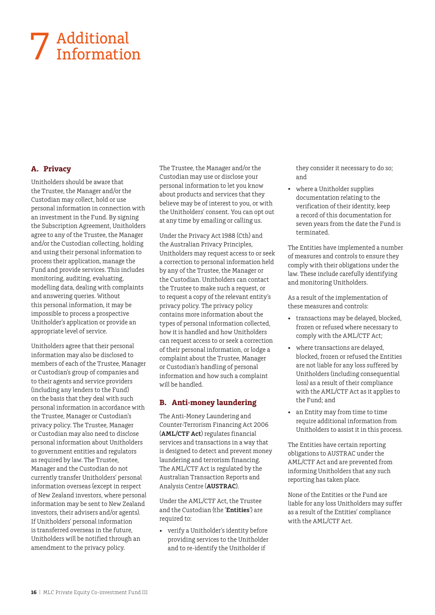# Additional 7 Additional<br>Information

#### **A. Privacy**

Unitholders should be aware that the Trustee, the Manager and/or the Custodian may collect, hold or use personal information in connection with an investment in the Fund. By signing the Subscription Agreement, Unitholders agree to any of the Trustee, the Manager and/or the Custodian collecting, holding and using their personal information to process their application, manage the Fund and provide services. This includes monitoring, auditing, evaluating, modelling data, dealing with complaints and answering queries. Without this personal information, it may be impossible to process a prospective Unitholder's application or provide an appropriate level of service.

Unitholders agree that their personal information may also be disclosed to members of each of the Trustee, Manager or Custodian's group of companies and to their agents and service providers (including any lenders to the Fund) on the basis that they deal with such personal information in accordance with the Trustee, Manager or Custodian's privacy policy. The Trustee, Manager or Custodian may also need to disclose personal information about Unitholders to government entities and regulators as required by law. The Trustee, Manager and the Custodian do not currently transfer Unitholders' personal information overseas (except in respect of New Zealand investors, where personal information may be sent to New Zealand investors, their advisers and/or agents). If Unitholders' personal information is transferred overseas in the future, Unitholders will be notified through an amendment to the privacy policy.

The Trustee, the Manager and/or the Custodian may use or disclose your personal information to let you know about products and services that they believe may be of interest to you, or with the Unitholders' consent. You can opt out at any time by emailing or calling us.

Under the Privacy Act 1988 (Cth) and the Australian Privacy Principles, Unitholders may request access to or seek a correction to personal information held by any of the Trustee, the Manager or the Custodian. Unitholders can contact the Trustee to make such a request, or to request a copy of the relevant entity's privacy policy. The privacy policy contains more information about the types of personal information collected, how it is handled and how Unitholders can request access to or seek a correction of their personal information, or lodge a complaint about the Trustee, Manager or Custodian's handling of personal information and how such a complaint will be handled.

#### **B. Anti-money laundering**

The Anti-Money Laundering and Counter-Terrorism Financing Act 2006 (**AML/CTF Act**) regulates financial services and transactions in a way that is designed to detect and prevent money laundering and terrorism financing. The AML/CTF Act is regulated by the Australian Transaction Reports and Analysis Centre (**AUSTRAC**).

Under the AML/CTF Act, the Trustee and the Custodian (the '**Entities**') are required to:

• verify a Unitholder's identity before providing services to the Unitholder and to re-identify the Unitholder if

they consider it necessary to do so; and

• where a Unitholder supplies documentation relating to the verification of their identity, keep a record of this documentation for seven years from the date the Fund is terminated.

The Entities have implemented a number of measures and controls to ensure they comply with their obligations under the law. These include carefully identifying and monitoring Unitholders.

As a result of the implementation of these measures and controls:

- transactions may be delayed, blocked, frozen or refused where necessary to comply with the AML/CTF Act;
- where transactions are delayed, blocked, frozen or refused the Entities are not liable for any loss suffered by Unitholders (including consequential loss) as a result of their compliance with the AML/CTF Act as it applies to the Fund; and
- an Entity may from time to time require additional information from Unitholders to assist it in this process.

The Entities have certain reporting obligations to AUSTRAC under the AML/CTF Act and are prevented from informing Unitholders that any such reporting has taken place.

None of the Entities or the Fund are liable for any loss Unitholders may suffer as a result of the Entities' compliance with the AML/CTF Act.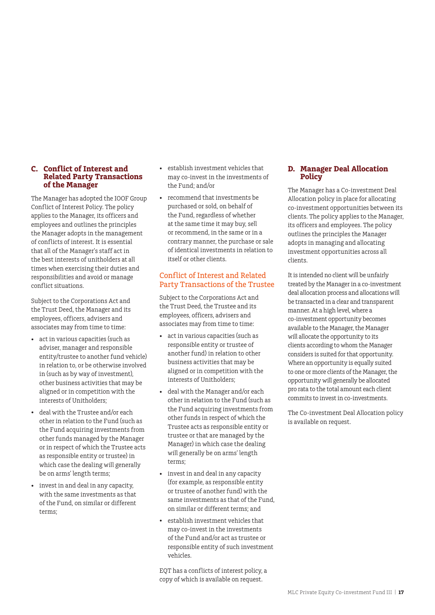#### **C. Conflict of Interest and Related Party Transactions of the Manager**

The Manager has adopted the IOOF Group Conflict of Interest Policy. The policy applies to the Manager, its officers and employees and outlines the principles the Manager adopts in the management of conflicts of interest. It is essential that all of the Manager's staff act in the best interests of unitholders at all times when exercising their duties and responsibilities and avoid or manage conflict situations.

Subject to the Corporations Act and the Trust Deed, the Manager and its employees, officers, advisers and associates may from time to time:

- act in various capacities (such as adviser, manager and responsible entity/trustee to another fund vehicle) in relation to, or be otherwise involved in (such as by way of investment), other business activities that may be aligned or in competition with the interests of Unitholders;
- deal with the Trustee and/or each other in relation to the Fund (such as the Fund acquiring investments from other funds managed by the Manager or in respect of which the Trustee acts as responsible entity or trustee) in which case the dealing will generally be on arms' length terms;
- invest in and deal in any capacity, with the same investments as that of the Fund, on similar or different terms;
- establish investment vehicles that may co-invest in the investments of the Fund; and/or
- recommend that investments be purchased or sold, on behalf of the Fund, regardless of whether at the same time it may buy, sell or recommend, in the same or in a contrary manner, the purchase or sale of identical investments in relation to itself or other clients.

#### Conflict of Interest and Related Party Transactions of the Trustee

Subject to the Corporations Act and the Trust Deed, the Trustee and its employees, officers, advisers and associates may from time to time:

- act in various capacities (such as responsible entity or trustee of another fund) in relation to other business activities that may be aligned or in competition with the interests of Unitholders;
- deal with the Manager and/or each other in relation to the Fund (such as the Fund acquiring investments from other funds in respect of which the Trustee acts as responsible entity or trustee or that are managed by the Manager) in which case the dealing will generally be on arms' length terms;
- invest in and deal in any capacity (for example, as responsible entity or trustee of another fund) with the same investments as that of the Fund, on similar or different terms; and
- establish investment vehicles that may co-invest in the investments of the Fund and/or act as trustee or responsible entity of such investment vehicles.

EQT has a conflicts of interest policy, a copy of which is available on request.

#### **D. Manager Deal Allocation Policy**

The Manager has a Co-investment Deal Allocation policy in place for allocating co-investment opportunities between its clients. The policy applies to the Manager, its officers and employees. The policy outlines the principles the Manager adopts in managing and allocating investment opportunities across all clients.

It is intended no client will be unfairly treated by the Manager in a co-investment deal allocation process and allocations will be transacted in a clear and transparent manner. At a high level, where a co-investment opportunity becomes available to the Manager, the Manager will allocate the opportunity to its clients according to whom the Manager considers is suited for that opportunity. Where an opportunity is equally suited to one or more clients of the Manager, the opportunity will generally be allocated pro rata to the total amount each client commits to invest in co-investments.

The Co-investment Deal Allocation policy is available on request.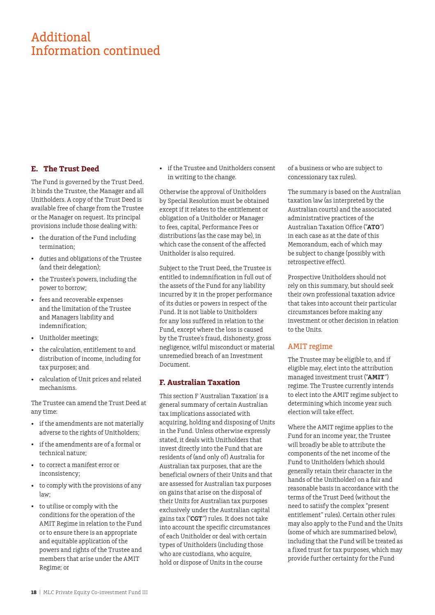## Additional Information continued

#### **E. The Trust Deed**

The Fund is governed by the Trust Deed. It binds the Trustee, the Manager and all Unitholders. A copy of the Trust Deed is available free of charge from the Trustee or the Manager on request. Its principal provisions include those dealing with:

- the duration of the Fund including termination;
- duties and obligations of the Trustee (and their delegation);
- the Trustee's powers, including the power to borrow;
- fees and recoverable expenses and the limitation of the Trustee and Managers liability and indemnification;
- Unitholder meetings;
- the calculation, entitlement to and distribution of income, including for tax purposes; and
- calculation of Unit prices and related mechanisms.

The Trustee can amend the Trust Deed at any time:

- if the amendments are not materially adverse to the rights of Unitholders;
- if the amendments are of a formal or technical nature;
- to correct a manifest error or inconsistency;
- to comply with the provisions of any law;
- to utilise or comply with the conditions for the operation of the AMIT Regime in relation to the Fund or to ensure there is an appropriate and equitable application of the powers and rights of the Trustee and members that arise under the AMIT Regime; or

• if the Trustee and Unitholders consent in writing to the change.

Otherwise the approval of Unitholders by Special Resolution must be obtained except if it relates to the entitlement or obligation of a Unitholder or Manager to fees, capital, Performance Fees or distributions (as the case may be), in which case the consent of the affected Unitholder is also required.

Subject to the Trust Deed, the Trustee is entitled to indemnification in full out of the assets of the Fund for any liability incurred by it in the proper performance of its duties or powers in respect of the Fund. It is not liable to Unitholders for any loss suffered in relation to the Fund, except where the loss is caused by the Trustee's fraud, dishonesty, gross negligence, wilful misconduct or material unremedied breach of an Investment Document.

#### **F. Australian Taxation**

This section F 'Australian Taxation' is a general summary of certain Australian tax implications associated with acquiring, holding and disposing of Units in the Fund. Unless otherwise expressly stated, it deals with Unitholders that invest directly into the Fund that are residents of (and only of) Australia for Australian tax purposes, that are the beneficial owners of their Units and that are assessed for Australian tax purposes on gains that arise on the disposal of their Units for Australian tax purposes exclusively under the Australian capital gains tax ("**CGT**") rules. It does not take into account the specific circumstances of each Unitholder or deal with certain types of Unitholders (including those who are custodians, who acquire, hold or dispose of Units in the course

of a business or who are subject to concessionary tax rules).

The summary is based on the Australian taxation law (as interpreted by the Australian courts) and the associated administrative practices of the Australian Taxation Office ("**ATO**") in each case as at the date of this Memorandum, each of which may be subject to change (possibly with retrospective effect).

Prospective Unitholders should not rely on this summary, but should seek their own professional taxation advice that takes into account their particular circumstances before making any investment or other decision in relation to the Unite

#### AMIT regime

The Trustee may be eligible to, and if eligible may, elect into the attribution managed investment trust ("**AMIT**") regime. The Trustee currently intends to elect into the AMIT regime subject to determining which income year such election will take effect.

Where the AMIT regime applies to the Fund for an income year, the Trustee will broadly be able to attribute the components of the net income of the Fund to Unitholders (which should generally retain their character in the hands of the Unitholder) on a fair and reasonable basis in accordance with the terms of the Trust Deed (without the need to satisfy the complex "present entitlement" rules). Certain other rules may also apply to the Fund and the Units (some of which are summarised below), including that the Fund will be treated as a fixed trust for tax purposes, which may provide further certainty for the Fund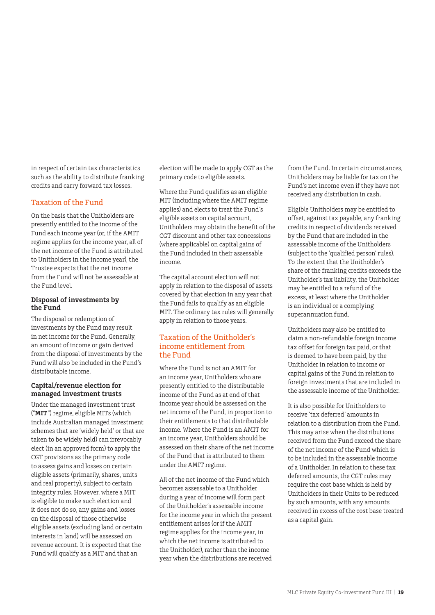in respect of certain tax characteristics such as the ability to distribute franking credits and carry forward tax losses.

#### Taxation of the Fund

On the basis that the Unitholders are presently entitled to the income of the Fund each income year (or, if the AMIT regime applies for the income year, all of the net income of the Fund is attributed to Unitholders in the income year), the Trustee expects that the net income from the Fund will not be assessable at the Fund level.

#### **Disposal of investments by the Fund**

The disposal or redemption of investments by the Fund may result in net income for the Fund. Generally, an amount of income or gain derived from the disposal of investments by the Fund will also be included in the Fund's distributable income.

#### **Capital/revenue election for managed investment trusts**

Under the managed investment trust ("**MIT**") regime, eligible MITs (which include Australian managed investment schemes that are 'widely held' or that are taken to be widely held) can irrevocably elect (in an approved form) to apply the CGT provisions as the primary code to assess gains and losses on certain eligible assets (primarily, shares, units and real property), subject to certain integrity rules. However, where a MIT is eligible to make such election and it does not do so, any gains and losses on the disposal of those otherwise eligible assets (excluding land or certain interests in land) will be assessed on revenue account. It is expected that the Fund will qualify as a MIT and that an

election will be made to apply CGT as the primary code to eligible assets.

Where the Fund qualifies as an eligible MIT (including where the AMIT regime applies) and elects to treat the Fund's eligible assets on capital account, Unitholders may obtain the benefit of the CGT discount and other tax concessions (where applicable) on capital gains of the Fund included in their assessable income.

The capital account election will not apply in relation to the disposal of assets covered by that election in any year that the Fund fails to qualify as an eligible MIT. The ordinary tax rules will generally apply in relation to those years.

#### Taxation of the Unitholder's income entitlement from the Fund

Where the Fund is not an AMIT for an income year, Unitholders who are presently entitled to the distributable income of the Fund as at end of that income year should be assessed on the net income of the Fund, in proportion to their entitlements to that distributable income. Where the Fund is an AMIT for an income year, Unitholders should be assessed on their share of the net income of the Fund that is attributed to them under the AMIT regime.

All of the net income of the Fund which becomes assessable to a Unitholder during a year of income will form part of the Unitholder's assessable income for the income year in which the present entitlement arises (or if the AMIT regime applies for the income year, in which the net income is attributed to the Unitholder), rather than the income year when the distributions are received

from the Fund. In certain circumstances, Unitholders may be liable for tax on the Fund's net income even if they have not received any distribution in cash.

Eligible Unitholders may be entitled to offset, against tax payable, any franking credits in respect of dividends received by the Fund that are included in the assessable income of the Unitholders (subject to the 'qualified person' rules). To the extent that the Unitholder's share of the franking credits exceeds the Unitholder's tax liability, the Unitholder may be entitled to a refund of the excess, at least where the Unitholder is an individual or a complying superannuation fund.

Unitholders may also be entitled to claim a non-refundable foreign income tax offset for foreign tax paid, or that is deemed to have been paid, by the Unitholder in relation to income or capital gains of the Fund in relation to foreign investments that are included in the assessable income of the Unitholder.

It is also possible for Unitholders to receive 'tax deferred' amounts in relation to a distribution from the Fund. This may arise when the distributions received from the Fund exceed the share of the net income of the Fund which is to be included in the assessable income of a Unitholder. In relation to these tax deferred amounts, the CGT rules may require the cost base which is held by Unitholders in their Units to be reduced by such amounts, with any amounts received in excess of the cost base treated as a capital gain.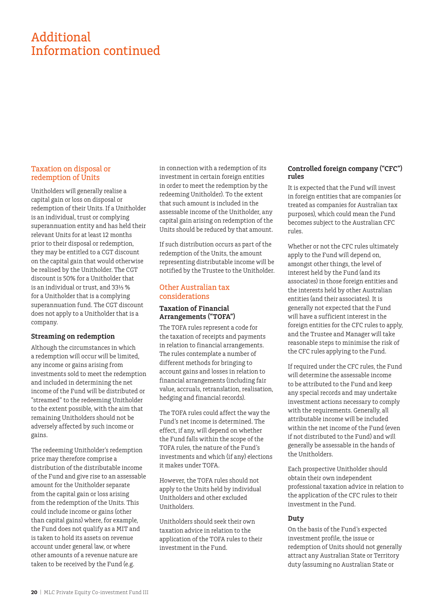## Additional Information continued

#### Taxation on disposal or redemption of Units

Unitholders will generally realise a capital gain or loss on disposal or redemption of their Units. If a Unitholder is an individual, trust or complying superannuation entity and has held their relevant Units for at least 12 months prior to their disposal or redemption, they may be entitled to a CGT discount on the capital gain that would otherwise be realised by the Unitholder. The CGT discount is 50% for a Unitholder that is an individual or trust, and 33⅓ % for a Unitholder that is a complying superannuation fund. The CGT discount does not apply to a Unitholder that is a company.

#### **Streaming on redemption**

Although the circumstances in which a redemption will occur will be limited, any income or gains arising from investments sold to meet the redemption and included in determining the net income of the Fund will be distributed or "streamed" to the redeeming Unitholder to the extent possible, with the aim that remaining Unitholders should not be adversely affected by such income or gains.

The redeeming Unitholder's redemption price may therefore comprise a distribution of the distributable income of the Fund and give rise to an assessable amount for the Unitholder separate from the capital gain or loss arising from the redemption of the Units. This could include income or gains (other than capital gains) where, for example, the Fund does not qualify as a MIT and is taken to hold its assets on revenue account under general law, or where other amounts of a revenue nature are taken to be received by the Fund (e.g.

in connection with a redemption of its investment in certain foreign entities in order to meet the redemption by the redeeming Unitholder). To the extent that such amount is included in the assessable income of the Unitholder, any capital gain arising on redemption of the Units should be reduced by that amount.

If such distribution occurs as part of the redemption of the Units, the amount representing distributable income will be notified by the Trustee to the Unitholder.

#### Other Australian tax considerations

#### **Taxation of Financial Arrangements ("TOFA")**

The TOFA rules represent a code for the taxation of receipts and payments in relation to financial arrangements. The rules contemplate a number of different methods for bringing to account gains and losses in relation to financial arrangements (including fair value, accruals, retranslation, realisation, hedging and financial records).

The TOFA rules could affect the way the Fund's net income is determined. The effect, if any, will depend on whether the Fund falls within the scope of the TOFA rules, the nature of the Fund's investments and which (if any) elections it makes under TOFA.

However, the TOFA rules should not apply to the Units held by individual Unitholders and other excluded Unitholders.

Unitholders should seek their own taxation advice in relation to the application of the TOFA rules to their investment in the Fund.

#### **Controlled foreign company ("CFC") rules**

It is expected that the Fund will invest in foreign entities that are companies (or treated as companies for Australian tax purposes), which could mean the Fund becomes subject to the Australian CFC rules.

Whether or not the CFC rules ultimately apply to the Fund will depend on, amongst other things, the level of interest held by the Fund (and its associates) in those foreign entities and the interests held by other Australian entities (and their associates). It is generally not expected that the Fund will have a sufficient interest in the foreign entities for the CFC rules to apply, and the Trustee and Manager will take reasonable steps to minimise the risk of the CFC rules applying to the Fund.

If required under the CFC rules, the Fund will determine the assessable income to be attributed to the Fund and keep any special records and may undertake investment actions necessary to comply with the requirements. Generally, all attributable income will be included within the net income of the Fund (even if not distributed to the Fund) and will generally be assessable in the hands of the Unitholders.

Each prospective Unitholder should obtain their own independent professional taxation advice in relation to the application of the CFC rules to their investment in the Fund.

#### **Duty**

On the basis of the Fund's expected investment profile, the issue or redemption of Units should not generally attract any Australian State or Territory duty (assuming no Australian State or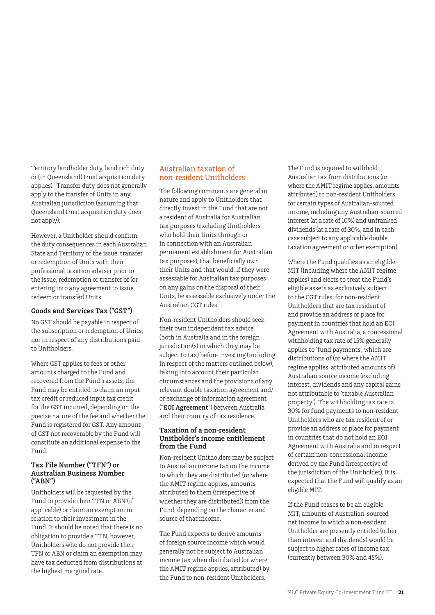Territory landholder duty, land rich duty or (in Queensland) trust acquisition duty applies). Transfer duty does not generally apply to the transfer of Units in any Australian jurisdiction (assuming that Queensland trust acquisition duty does not apply).

However, a Unitholder should confirm the duty consequences in each Australian State and Territory of the issue, transfer or redemption of Units with their professional taxation adviser prior to the issue, redemption or transfer of (or entering into any agreement to issue, redeem or transfer) Units.

#### **Goods and Services Tax ("GST")**

No GST should be payable in respect of the subscription or redemption of Units, nor in respect of any distributions paid to Unitholders.

Where GST applies to fees or other amounts charged to the Fund and recovered from the Fund's assets, the Fund may be entitled to claim an input tax credit or reduced input tax credit for the GST incurred, depending on the precise nature of the fee and whether the Fund is registered for GST. Any amount of GST not recoverable by the Fund will constitute an additional expense to the Fund.

#### **Tax File Number ("TFN") or Australian Business Number ("ABN")**

Unitholders will be requested by the Fund to provide their TFN or ABN (if applicable) or claim an exemption in relation to their investment in the Fund. It should be noted that there is no obligation to provide a TFN, however, Unitholders who do not provide their TFN or ABN or claim an exemption may have tax deducted from distributions at the highest marginal rate.

#### Australian taxation of non-resident Unitholders

The following comments are general in nature and apply to Unitholders that directly invest in the Fund that are not a resident of Australia for Australian tax purposes (excluding Unitholders who hold their Units through or in connection with an Australian permanent establishment for Australian tax purposes), that beneficially own their Units and that would, if they were assessable for Australian tax purposes on any gains on the disposal of their Units, be assessable exclusively under the Australian CGT rules.

Non-resident Unitholders should seek their own independent tax advice (both in Australia and in the foreign jurisdiction(s) in which they may be subject to tax) before investing (including in respect of the matters outlined below), taking into account their particular circumstances and the provisions of any relevant double taxation agreement and/ or exchange of information agreement ("**EOI Agreement**") between Australia and their country of tax residence.

#### **Taxation of a non-resident Unitholder's income entitlement from the Fund**

Non-resident Unitholders may be subject to Australian income tax on the income to which they are distributed (or where the AMIT regime applies, amounts attributed to them (irrespective of whether they are distributed)) from the Fund, depending on the character and source of that income.

The Fund expects to derive amounts of foreign source income which would generally not be subject to Australian income tax when distributed (or where the AMIT regime applies, attributed) by the Fund to non-resident Unitholders.

The Fund is required to withhold Australian tax from distributions (or where the AMIT regime applies, amounts attributed) to non-resident Unitholders for certain types of Australian-sourced income, including any Australian-sourced interest (at a rate of 10%) and unfranked dividends (at a rate of 30%, and in each case subject to any applicable double taxation agreement or other exemption).

Where the Fund qualifies as an eligible MIT (including where the AMIT regime applies) and elects to treat the Fund's eligible assets as exclusively subject to the CGT rules, for non-resident Unitholders that are tax resident of and provide an address or place for payment in countries that hold an EOI Agreement with Australia, a concessional withholding tax rate of 15% generally applies to 'fund payments', which are distributions of (or where the AMIT regime applies, attributed amounts of) Australian source income (excluding interest, dividends and any capital gains not attributable to 'taxable Australian property'). The withholding tax rate is 30% for fund payments to non-resident Unitholders who are tax resident of or provide an address or place for payment in countries that do not hold an EOI Agreement with Australia and in respect of certain non-concessional income derived by the Fund (irrespective of the jurisdiction of the Unitholder). It is expected that the Fund will qualify as an eligible MIT.

If the Fund ceases to be an eligible MIT, amounts of Australian-sourced net income to which a non-resident Unitholder are presently entitled (other than interest and dividends) would be subject to higher rates of income tax (currently between 30% and 45%).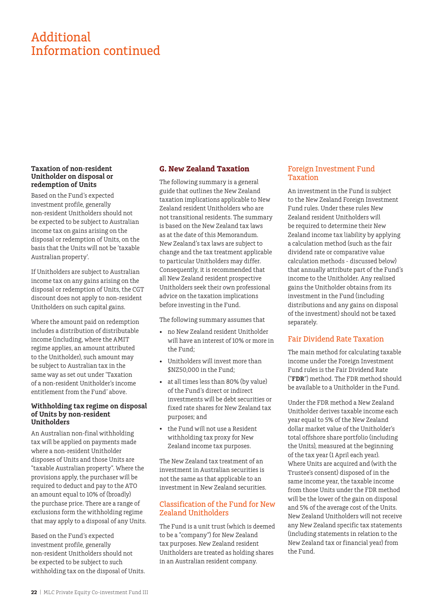## Additional Information continued

#### **Taxation of non-resident Unitholder on disposal or redemption of Units**

Based on the Fund's expected investment profile, generally non-resident Unitholders should not be expected to be subject to Australian income tax on gains arising on the disposal or redemption of Units, on the basis that the Units will not be 'taxable Australian property'.

If Unitholders are subject to Australian income tax on any gains arising on the disposal or redemption of Units, the CGT discount does not apply to non-resident Unitholders on such capital gains.

Where the amount paid on redemption includes a distribution of distributable income (including, where the AMIT regime applies, an amount attributed to the Unitholder), such amount may be subject to Australian tax in the same way as set out under 'Taxation of a non-resident Unitholder's income entitlement from the Fund' above.

#### **Withholding tax regime on disposal of Units by non-resident Unitholders**

An Australian non-final withholding tax will be applied on payments made where a non-resident Unitholder disposes of Units and those Units are "taxable Australian property". Where the provisions apply, the purchaser will be required to deduct and pay to the ATO an amount equal to 10% of (broadly) the purchase price. There are a range of exclusions form the withholding regime that may apply to a disposal of any Units.

Based on the Fund's expected investment profile, generally non-resident Unitholders should not be expected to be subject to such withholding tax on the disposal of Units.

#### **G. New Zealand Taxation**

The following summary is a general guide that outlines the New Zealand taxation implications applicable to New Zealand resident Unitholders who are not transitional residents. The summary is based on the New Zealand tax laws as at the date of this Memorandum. New Zealand's tax laws are subject to change and the tax treatment applicable to particular Unitholders may differ. Consequently, it is recommended that all New Zealand resident prospective Unitholders seek their own professional advice on the taxation implications before investing in the Fund.

The following summary assumes that

- no New Zealand resident Unitholder will have an interest of 10% or more in the Fund;
- Unitholders will invest more than \$NZ50,000 in the Fund;
- at all times less than 80% (by value) of the Fund's direct or indirect investments will be debt securities or fixed rate shares for New Zealand tax purposes; and
- the Fund will not use a Resident withholding tax proxy for New Zealand income tax purposes.

The New Zealand tax treatment of an investment in Australian securities is not the same as that applicable to an investment in New Zealand securities.

#### Classification of the Fund for New Zealand Unitholders

The Fund is a unit trust (which is deemed to be a "company") for New Zealand tax purposes. New Zealand resident Unitholders are treated as holding shares in an Australian resident company.

#### Foreign Investment Fund Taxation

An investment in the Fund is subject to the New Zealand Foreign Investment Fund rules. Under these rules New Zealand resident Unitholders will be required to determine their New Zealand income tax liability by applying a calculation method (such as the fair dividend rate or comparative value calculation methods - discussed below) that annually attribute part of the Fund's income to the Unitholder. Any realised gains the Unitholder obtains from its investment in the Fund (including distributions and any gains on disposal of the investment) should not be taxed separately.

#### Fair Dividend Rate Taxation

The main method for calculating taxable income under the Foreign Investment Fund rules is the Fair Dividend Rate ("**FDR**") method. The FDR method should be available to a Unitholder in the Fund.

Under the FDR method a New Zealand Unitholder derives taxable income each year equal to 5% of the New Zealand dollar market value of the Unitholder's total offshore share portfolio (including the Units), measured at the beginning of the tax year (1 April each year). Where Units are acquired and (with the Trustee's consent) disposed of in the same income year, the taxable income from those Units under the FDR method will be the lower of the gain on disposal and 5% of the average cost of the Units. New Zealand Unitholders will not receive any New Zealand specific tax statements (including statements in relation to the New Zealand tax or financial year) from the Fund.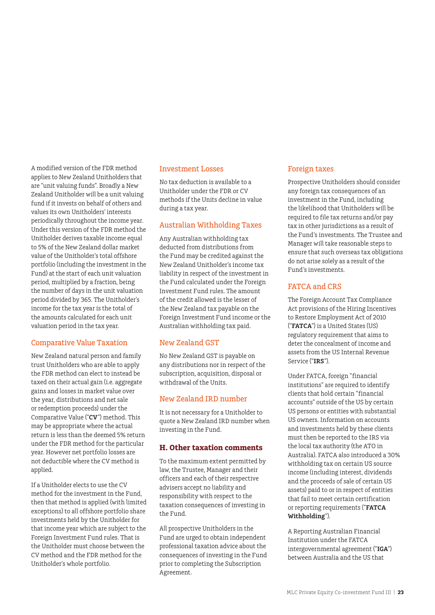A modified version of the FDR method applies to New Zealand Unitholders that are "unit valuing funds". Broadly a New Zealand Unitholder will be a unit valuing fund if it invests on behalf of others and values its own Unitholders' interests periodically throughout the income year. Under this version of the FDR method the Unitholder derives taxable income equal to 5% of the New Zealand dollar market value of the Unitholder's total offshore portfolio (including the investment in the Fund) at the start of each unit valuation period, multiplied by a fraction, being the number of days in the unit valuation period divided by 365. The Unitholder's income for the tax year is the total of the amounts calculated for each unit valuation period in the tax year.

#### Comparative Value Taxation

New Zealand natural person and family trust Unitholders who are able to apply the FDR method can elect to instead be taxed on their actual gain (i.e. aggregate gains and losses in market value over the year, distributions and net sale or redemption proceeds) under the Comparative Value ("**CV**") method. This may be appropriate where the actual return is less than the deemed 5% return under the FDR method for the particular year. However net portfolio losses are not deductible where the CV method is applied.

If a Unitholder elects to use the CV method for the investment in the Fund, then that method is applied (with limited exceptions) to all offshore portfolio share investments held by the Unitholder for that income year which are subject to the Foreign Investment Fund rules. That is the Unitholder must choose between the CV method and the FDR method for the Unitholder's whole portfolio.

#### Investment Losses

No tax deduction is available to a Unitholder under the FDR or CV methods if the Units decline in value during a tax year.

#### Australian Withholding Taxes

Any Australian withholding tax deducted from distributions from the Fund may be credited against the New Zealand Unitholder's income tax liability in respect of the investment in the Fund calculated under the Foreign Investment Fund rules. The amount of the credit allowed is the lesser of the New Zealand tax payable on the Foreign Investment Fund income or the Australian withholding tax paid.

#### New Zealand GST

No New Zealand GST is payable on any distributions nor in respect of the subscription, acquisition, disposal or withdrawal of the Units.

#### New Zealand IRD number

It is not necessary for a Unitholder to quote a New Zealand IRD number when investing in the Fund.

#### **H. Other taxation comments**

To the maximum extent permitted by law, the Trustee, Manager and their officers and each of their respective advisers accept no liability and responsibility with respect to the taxation consequences of investing in the Fund.

All prospective Unitholders in the Fund are urged to obtain independent professional taxation advice about the consequences of investing in the Fund prior to completing the Subscription Agreement.

#### Foreign taxes

Prospective Unitholders should consider any foreign tax consequences of an investment in the Fund, including the likelihood that Unitholders will be required to file tax returns and/or pay tax in other jurisdictions as a result of the Fund's investments. The Trustee and Manager will take reasonable steps to ensure that such overseas tax obligations do not arise solely as a result of the Fund's investments.

#### FATCA and CRS

The Foreign Account Tax Compliance Act provisions of the Hiring Incentives to Restore Employment Act of 2010 ("**FATCA**") is a United States (US) regulatory requirement that aims to deter the concealment of income and assets from the US Internal Revenue Service ("**IRS**").

Under FATCA, foreign "financial institutions" are required to identify clients that hold certain "financial accounts" outside of the US by certain US persons or entities with substantial US owners. Information on accounts and investments held by these clients must then be reported to the IRS via the local tax authority (the ATO in Australia). FATCA also introduced a 30% withholding tax on certain US source income (including interest, dividends and the proceeds of sale of certain US assets) paid to or in respect of entities that fail to meet certain certification or reporting requirements ("**FATCA Withholding**").

A Reporting Australian Financial Institution under the FATCA intergovernmental agreement ("**IGA**") between Australia and the US that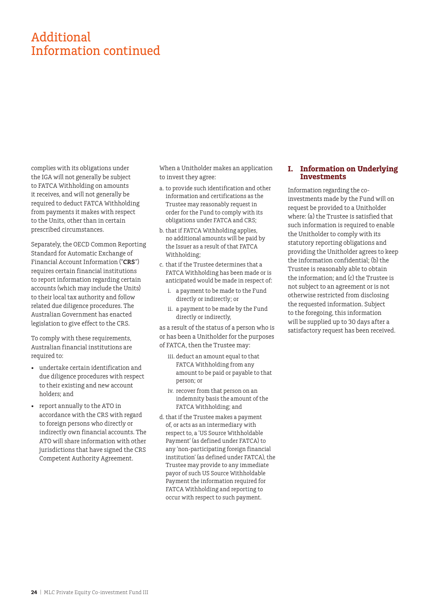## Additional Information continued

complies with its obligations under the IGA will not generally be subject to FATCA Withholding on amounts it receives, and will not generally be required to deduct FATCA Withholding from payments it makes with respect to the Units, other than in certain prescribed circumstances.

Separately, the OECD Common Reporting Standard for Automatic Exchange of Financial Account Information ("**CRS**") requires certain financial institutions to report information regarding certain accounts (which may include the Units) to their local tax authority and follow related due diligence procedures. The Australian Government has enacted legislation to give effect to the CRS.

To comply with these requirements, Australian financial institutions are required to:

- undertake certain identification and due diligence procedures with respect to their existing and new account holders; and
- report annually to the ATO in accordance with the CRS with regard to foreign persons who directly or indirectly own financial accounts. The ATO will share information with other jurisdictions that have signed the CRS Competent Authority Agreement.

When a Unitholder makes an application to invest they agree:

- a. to provide such identification and other information and certifications as the Trustee may reasonably request in order for the Fund to comply with its obligations under FATCA and CRS;
- b. that if FATCA Withholding applies, no additional amounts will be paid by the Issuer as a result of that FATCA Withholding;
- c. that if the Trustee determines that a FATCA Withholding has been made or is anticipated would be made in respect of:
	- i. a payment to be made to the Fund directly or indirectly; or
	- ii. a payment to be made by the Fund directly or indirectly,

as a result of the status of a person who is or has been a Unitholder for the purposes of FATCA, then the Trustee may:

- iii. deduct an amount equal to that FATCA Withholding from any amount to be paid or payable to that person; or
- iv. recover from that person on an indemnity basis the amount of the FATCA Withholding; and
- d. that if the Trustee makes a payment of, or acts as an intermediary with respect to, a 'US Source Withholdable Payment' (as defined under FATCA) to any 'non-participating foreign financial institution' (as defined under FATCA), the Trustee may provide to any immediate payor of such US Source Withholdable Payment the information required for FATCA Withholding and reporting to occur with respect to such payment.

#### **I. Information on Underlying Investments**

Information regarding the coinvestments made by the Fund will on request be provided to a Unitholder where: (a) the Trustee is satisfied that such information is required to enable the Unitholder to comply with its statutory reporting obligations and providing the Unitholder agrees to keep the information confidential; (b) the Trustee is reasonably able to obtain the information; and (c) the Trustee is not subject to an agreement or is not otherwise restricted from disclosing the requested information. Subject to the foregoing, this information will be supplied up to 30 days after a satisfactory request has been received.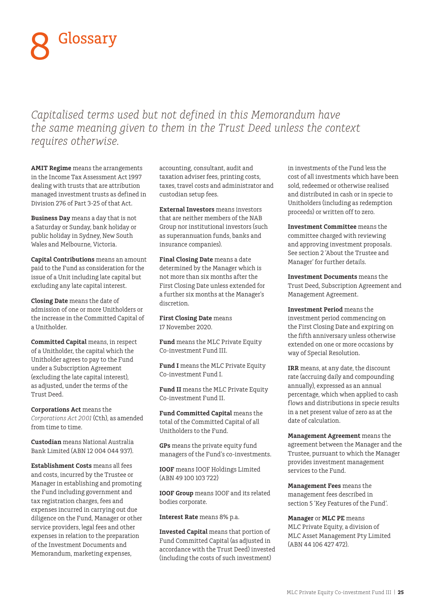# Glossary 8

*Capitalised terms used but not defined in this Memorandum have the same meaning given to them in the Trust Deed unless the context requires otherwise.*

**AMIT Regime** means the arrangements in the Income Tax Assessment Act 1997 dealing with trusts that are attribution managed investment trusts as defined in Division 276 of Part 3-25 of that Act.

**Business Day** means a day that is not a Saturday or Sunday, bank holiday or public holiday in Sydney, New South Wales and Melbourne, Victoria.

**Capital Contributions** means an amount paid to the Fund as consideration for the issue of a Unit including late capital but excluding any late capital interest.

**Closing Date** means the date of admission of one or more Unitholders or the increase in the Committed Capital of a Unitholder.

**Committed Capital** means, in respect of a Unitholder, the capital which the Unitholder agrees to pay to the Fund under a Subscription Agreement (excluding the late capital interest), as adjusted, under the terms of the Trust Deed.

**Corporations Act** means the *Corporations Act 2001* (Cth), as amended from time to time.

**Custodian** means National Australia Bank Limited (ABN 12 004 044 937).

**Establishment Costs** means all fees and costs, incurred by the Trustee or Manager in establishing and promoting the Fund including government and tax registration charges, fees and expenses incurred in carrying out due diligence on the Fund, Manager or other service providers, legal fees and other expenses in relation to the preparation of the Investment Documents and Memorandum, marketing expenses,

accounting, consultant, audit and taxation adviser fees, printing costs, taxes, travel costs and administrator and custodian setup fees.

**External Investors** means investors that are neither members of the NAB Group nor institutional investors (such as superannuation funds, banks and insurance companies).

**Final Closing Date** means a date determined by the Manager which is not more than six months after the First Closing Date unless extended for a further six months at the Manager's discretion.

**First Closing Date** means 17 November 2020.

**Fund** means the MLC Private Equity Co-investment Fund III.

**Fund I** means the MLC Private Equity Co-investment Fund I.

**Fund II** means the MLC Private Equity Co-investment Fund II.

**Fund Committed Capital** means the total of the Committed Capital of all Unitholders to the Fund.

**GPs** means the private equity fund managers of the Fund's co-investments.

**IOOF** means IOOF Holdings Limited (ABN 49 100 103 722)

**IOOF Group** means IOOF and its related bodies corporate.

**Interest Rate** means 8% p.a.

**Invested Capital** means that portion of Fund Committed Capital (as adjusted in accordance with the Trust Deed) invested (including the costs of such investment)

in investments of the Fund less the cost of all investments which have been sold, redeemed or otherwise realised and distributed in cash or in specie to Unitholders (including as redemption proceeds) or written off to zero.

**Investment Committee** means the committee charged with reviewing and approving investment proposals. See section 2 'About the Trustee and Manager' for further details.

**Investment Documents** means the Trust Deed, Subscription Agreement and Management Agreement.

**Investment Period** means the investment period commencing on the First Closing Date and expiring on the fifth anniversary unless otherwise extended on one or more occasions by way of Special Resolution.

**IRR** means, at any date, the discount rate (accruing daily and compounding annually), expressed as an annual percentage, which when applied to cash flows and distributions in specie results in a net present value of zero as at the date of calculation.

**Management Agreement** means the agreement between the Manager and the Trustee, pursuant to which the Manager provides investment management services to the Fund.

**Management Fees** means the management fees described in section 5 'Key Features of the Fund'.

**Manager** or **MLC PE** means MLC Private Equity, a division of MLC Asset Management Pty Limited (ABN 44 106 427 472).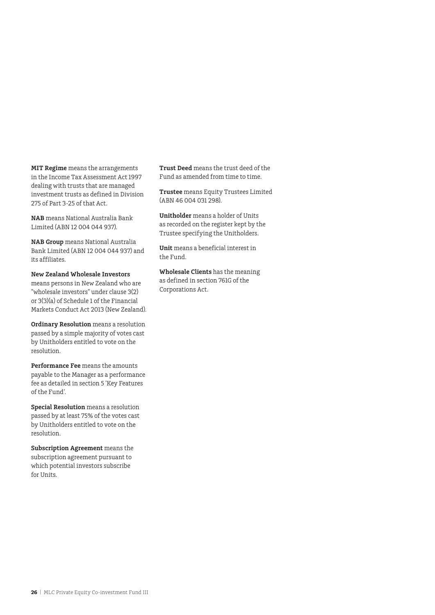**MIT Regime** means the arrangements in the Income Tax Assessment Act 1997 dealing with trusts that are managed investment trusts as defined in Division 275 of Part 3-25 of that Act.

**NAB** means National Australia Bank Limited (ABN 12 004 044 937).

**NAB Group** means National Australia Bank Limited (ABN 12 004 044 937) and its affiliates.

**New Zealand Wholesale Investors** means persons in New Zealand who are "wholesale investors" under clause 3(2) or 3(3)(a) of Schedule 1 of the Financial Markets Conduct Act 2013 (New Zealand).

**Ordinary Resolution** means a resolution passed by a simple majority of votes cast by Unitholders entitled to vote on the resolution.

**Performance Fee** means the amounts payable to the Manager as a performance fee as detailed in section 5 'Key Features of the Fund'.

**Special Resolution** means a resolution passed by at least 75% of the votes cast by Unitholders entitled to vote on the resolution.

**Subscription Agreement** means the subscription agreement pursuant to which potential investors subscribe for Units.

**Trust Deed** means the trust deed of the Fund as amended from time to time.

**Trustee** means Equity Trustees Limited (ABN 46 004 031 298).

**Unitholder** means a holder of Units as recorded on the register kept by the Trustee specifying the Unitholders.

**Unit** means a beneficial interest in the Fund.

**Wholesale Clients** has the meaning as defined in section 761G of the Corporations Act.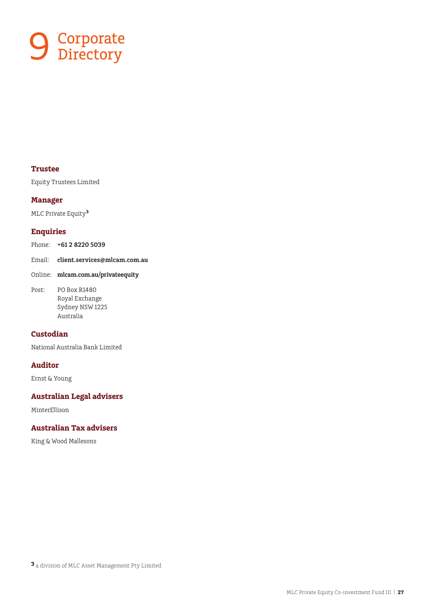

#### **Trustee**

Equity Trustees Limited

#### **Manager**

MLC Private Equity**<sup>3</sup>**

#### **Enquiries**

Phone: **+61 2 8220 5039** 

Email: **client.services@mlcam.com.au** 

- Online: **mlcam.com.au/privateequity**
- Post: PO Box R1480 Royal Exchange Sydney NSW 1225 Australia

#### **Custodian**

National Australia Bank Limited

#### **Auditor**

Ernst & Young

#### **Australian Legal advisers**

MinterEllison

#### **Australian Tax advisers**

King & Wood Mallesons